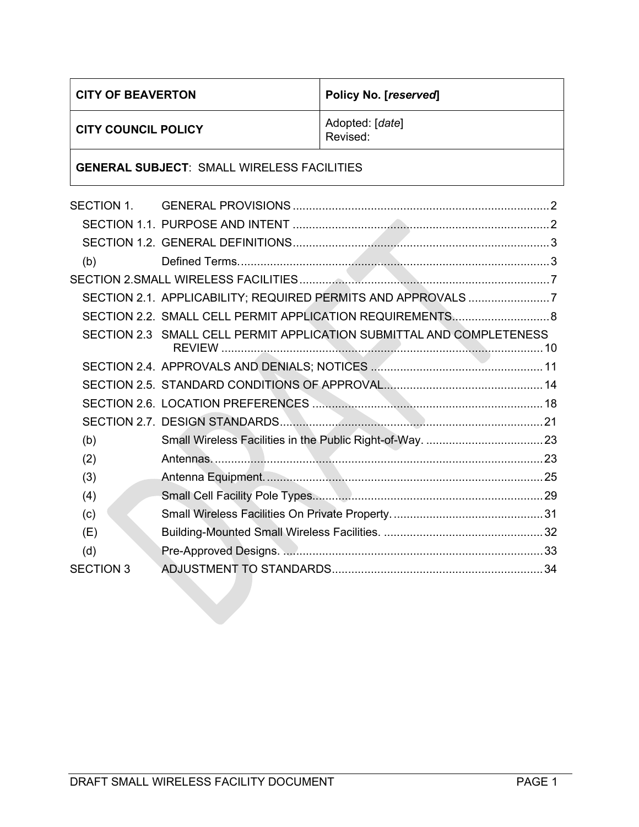| <b>CITY OF BEAVERTON</b>                          |                                                                      | Policy No. [reserved]       |  |
|---------------------------------------------------|----------------------------------------------------------------------|-----------------------------|--|
| <b>CITY COUNCIL POLICY</b>                        |                                                                      | Adopted: [date]<br>Revised: |  |
| <b>GENERAL SUBJECT: SMALL WIRELESS FACILITIES</b> |                                                                      |                             |  |
| SECTION 1.                                        |                                                                      |                             |  |
|                                                   |                                                                      |                             |  |
|                                                   |                                                                      |                             |  |
| (b)                                               |                                                                      |                             |  |
|                                                   |                                                                      |                             |  |
|                                                   | SECTION 2.1. APPLICABILITY; REQUIRED PERMITS AND APPROVALS 7         |                             |  |
|                                                   | SECTION 2.2. SMALL CELL PERMIT APPLICATION REQUIREMENTS 8            |                             |  |
|                                                   | SECTION 2.3 SMALL CELL PERMIT APPLICATION SUBMITTAL AND COMPLETENESS |                             |  |
|                                                   |                                                                      |                             |  |
|                                                   |                                                                      |                             |  |
|                                                   |                                                                      |                             |  |
|                                                   |                                                                      |                             |  |
| (b)                                               |                                                                      |                             |  |
| (2)                                               |                                                                      |                             |  |
| (3)                                               |                                                                      |                             |  |
| (4)                                               |                                                                      |                             |  |
| (c)                                               |                                                                      |                             |  |
| (E)                                               |                                                                      |                             |  |
| (d)                                               |                                                                      |                             |  |
| <b>SECTION 3</b>                                  |                                                                      |                             |  |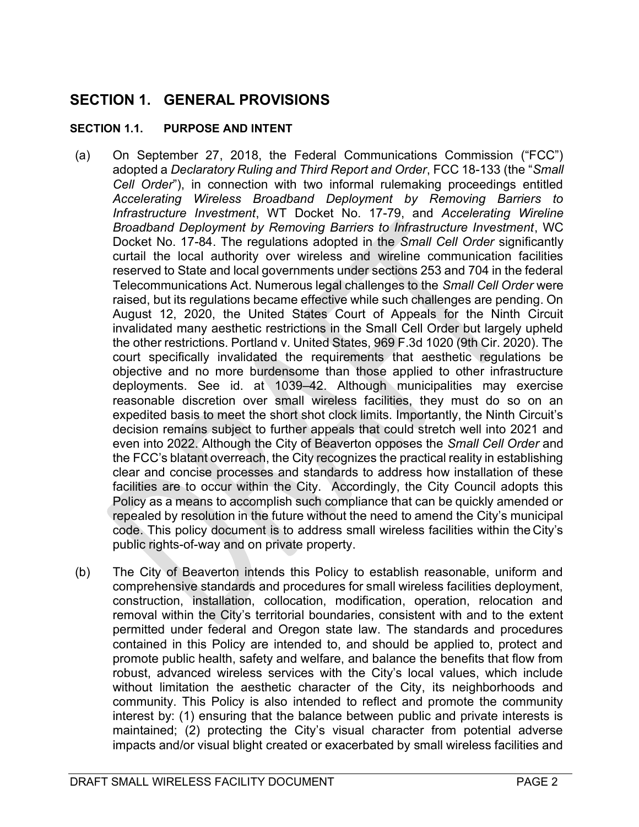# SECTION 1. GENERAL PROVISIONS

#### SECTION 1.1. PURPOSE AND INTENT

- (a) On September 27, 2018, the Federal Communications Commission ("FCC") adopted a Declaratory Ruling and Third Report and Order, FCC 18-133 (the "Small Cell Order"), in connection with two informal rulemaking proceedings entitled Accelerating Wireless Broadband Deployment by Removing Barriers to Infrastructure Investment, WT Docket No. 17-79, and Accelerating Wireline Broadband Deployment by Removing Barriers to Infrastructure Investment, WC Docket No. 17-84. The regulations adopted in the Small Cell Order significantly curtail the local authority over wireless and wireline communication facilities reserved to State and local governments under sections 253 and 704 in the federal Telecommunications Act. Numerous legal challenges to the Small Cell Order were raised, but its regulations became effective while such challenges are pending. On August 12, 2020, the United States Court of Appeals for the Ninth Circuit invalidated many aesthetic restrictions in the Small Cell Order but largely upheld the other restrictions. Portland v. United States, 969 F.3d 1020 (9th Cir. 2020). The court specifically invalidated the requirements that aesthetic regulations be objective and no more burdensome than those applied to other infrastructure deployments. See id. at 1039–42. Although municipalities may exercise reasonable discretion over small wireless facilities, they must do so on an expedited basis to meet the short shot clock limits. Importantly, the Ninth Circuit's decision remains subject to further appeals that could stretch well into 2021 and even into 2022. Although the City of Beaverton opposes the Small Cell Order and the FCC's blatant overreach, the City recognizes the practical reality in establishing clear and concise processes and standards to address how installation of these facilities are to occur within the City. Accordingly, the City Council adopts this Policy as a means to accomplish such compliance that can be quickly amended or repealed by resolution in the future without the need to amend the City's municipal code. This policy document is to address small wireless facilities within the City's public rights-of-way and on private property.
- (b) The City of Beaverton intends this Policy to establish reasonable, uniform and comprehensive standards and procedures for small wireless facilities deployment, construction, installation, collocation, modification, operation, relocation and removal within the City's territorial boundaries, consistent with and to the extent permitted under federal and Oregon state law. The standards and procedures contained in this Policy are intended to, and should be applied to, protect and promote public health, safety and welfare, and balance the benefits that flow from robust, advanced wireless services with the City's local values, which include without limitation the aesthetic character of the City, its neighborhoods and community. This Policy is also intended to reflect and promote the community interest by: (1) ensuring that the balance between public and private interests is maintained; (2) protecting the City's visual character from potential adverse impacts and/or visual blight created or exacerbated by small wireless facilities and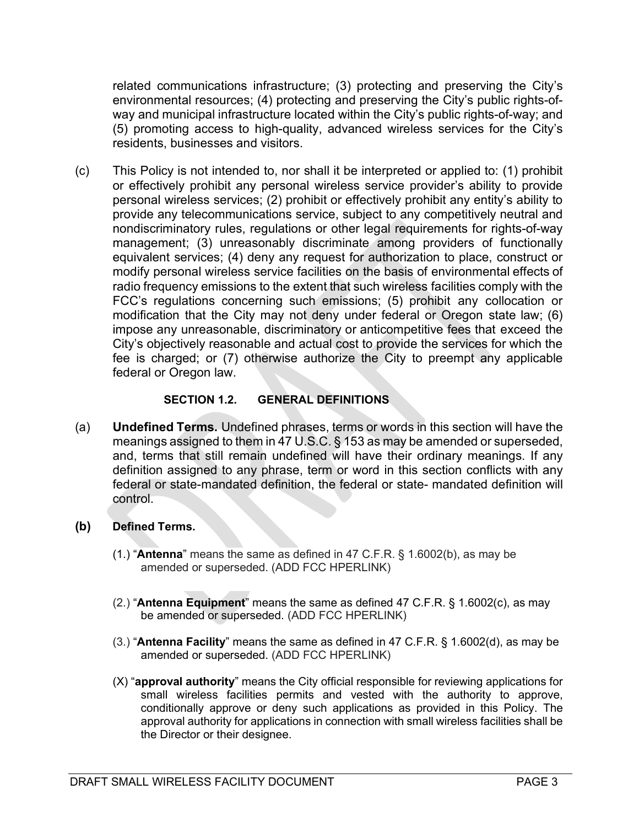related communications infrastructure; (3) protecting and preserving the City's environmental resources; (4) protecting and preserving the City's public rights-ofway and municipal infrastructure located within the City's public rights-of-way; and (5) promoting access to high-quality, advanced wireless services for the City's residents, businesses and visitors.

(c) This Policy is not intended to, nor shall it be interpreted or applied to: (1) prohibit or effectively prohibit any personal wireless service provider's ability to provide personal wireless services; (2) prohibit or effectively prohibit any entity's ability to provide any telecommunications service, subject to any competitively neutral and nondiscriminatory rules, regulations or other legal requirements for rights-of-way management; (3) unreasonably discriminate among providers of functionally equivalent services; (4) deny any request for authorization to place, construct or modify personal wireless service facilities on the basis of environmental effects of radio frequency emissions to the extent that such wireless facilities comply with the FCC's regulations concerning such emissions; (5) prohibit any collocation or modification that the City may not deny under federal or Oregon state law; (6) impose any unreasonable, discriminatory or anticompetitive fees that exceed the City's objectively reasonable and actual cost to provide the services for which the fee is charged; or (7) otherwise authorize the City to preempt any applicable federal or Oregon law.

#### SECTION 1.2. GENERAL DEFINITIONS

- (a) Undefined Terms. Undefined phrases, terms or words in this section will have the meanings assigned to them in 47 U.S.C. § 153 as may be amended or superseded, and, terms that still remain undefined will have their ordinary meanings. If any definition assigned to any phrase, term or word in this section conflicts with any federal or state-mandated definition, the federal or state- mandated definition will control.
- (b) Defined Terms.
	- $(1.)$  "Antenna" means the same as defined in 47 C.F.R. § 1.6002(b), as may be amended or superseded. (ADD FCC HPERLINK)
	- $(2.)$  "Antenna Equipment" means the same as defined 47 C.F.R. § 1.6002 $(c)$ , as may be amended or superseded. (ADD FCC HPERLINK)
	- (3.) "Antenna Facility" means the same as defined in 47 C.F.R. § 1.6002(d), as may be amended or superseded. (ADD FCC HPERLINK)
	- $(X)$  "approval authority" means the City official responsible for reviewing applications for small wireless facilities permits and vested with the authority to approve, conditionally approve or deny such applications as provided in this Policy. The approval authority for applications in connection with small wireless facilities shall be the Director or their designee.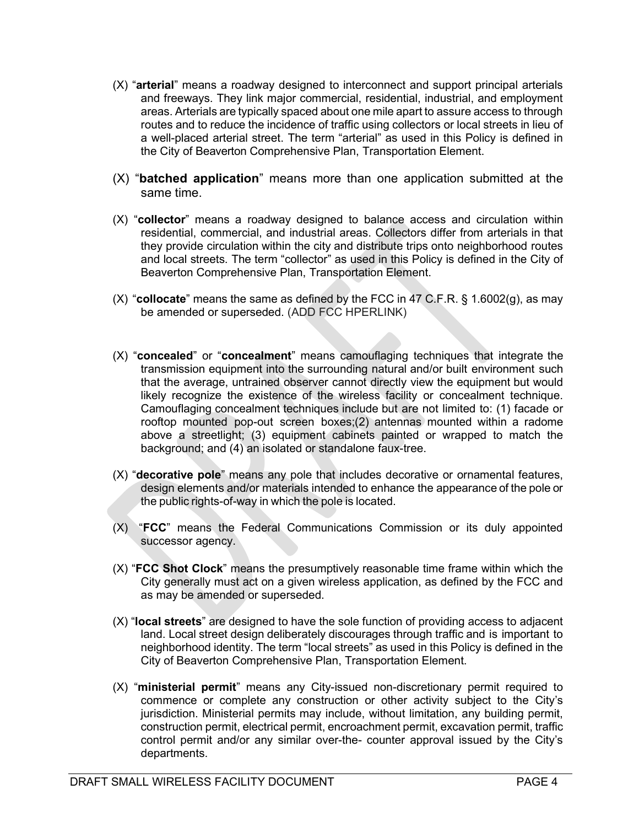- (X) "arterial" means a roadway designed to interconnect and support principal arterials and freeways. They link major commercial, residential, industrial, and employment areas. Arterials are typically spaced about one mile apart to assure access to through routes and to reduce the incidence of traffic using collectors or local streets in lieu of a well-placed arterial street. The term "arterial" as used in this Policy is defined in the City of Beaverton Comprehensive Plan, Transportation Element.
- $(X)$  "**batched application**" means more than one application submitted at the same time.
- (X) "collector" means a roadway designed to balance access and circulation within residential, commercial, and industrial areas. Collectors differ from arterials in that they provide circulation within the city and distribute trips onto neighborhood routes and local streets. The term "collector" as used in this Policy is defined in the City of Beaverton Comprehensive Plan, Transportation Element.
- $(X)$  "collocate" means the same as defined by the FCC in 47 C.F.R. § 1.6002(g), as may be amended or superseded. (ADD FCC HPERLINK)
- (X) "concealed" or "concealment" means camouflaging techniques that integrate the transmission equipment into the surrounding natural and/or built environment such that the average, untrained observer cannot directly view the equipment but would likely recognize the existence of the wireless facility or concealment technique. Camouflaging concealment techniques include but are not limited to: (1) facade or rooftop mounted pop-out screen boxes;(2) antennas mounted within a radome above a streetlight; (3) equipment cabinets painted or wrapped to match the background; and (4) an isolated or standalone faux-tree.
- (X) "decorative pole" means any pole that includes decorative or ornamental features, design elements and/or materials intended to enhance the appearance of the pole or the public rights-of-way in which the pole is located.
- (X) "FCC" means the Federal Communications Commission or its duly appointed successor agency.
- (X) "FCC Shot Clock" means the presumptively reasonable time frame within which the City generally must act on a given wireless application, as defined by the FCC and as may be amended or superseded.
- $(X)$  "local streets" are designed to have the sole function of providing access to adjacent land. Local street design deliberately discourages through traffic and is important to neighborhood identity. The term "local streets" as used in this Policy is defined in the City of Beaverton Comprehensive Plan, Transportation Element.
- (X) "ministerial permit" means any City-issued non-discretionary permit required to commence or complete any construction or other activity subject to the City's jurisdiction. Ministerial permits may include, without limitation, any building permit, construction permit, electrical permit, encroachment permit, excavation permit, traffic control permit and/or any similar over-the- counter approval issued by the City's departments.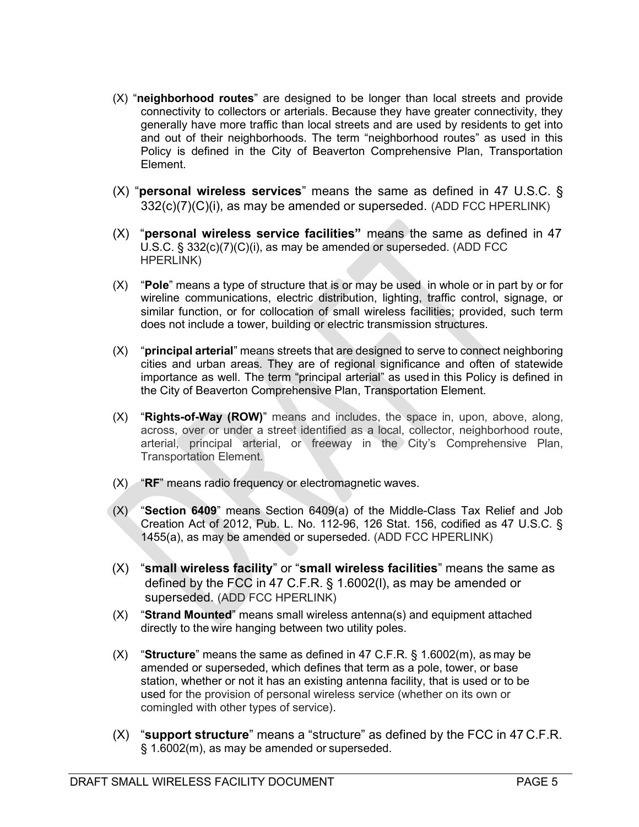- $(X)$  "neighborhood routes" are designed to be longer than local streets and provide connectivity to collectors or arterials. Because they have greater connectivity, they generally have more traffic than local streets and are used by residents to get into and out of their neighborhoods. The term "neighborhood routes" as used in this Policy is defined in the City of Beaverton Comprehensive Plan, Transportation Element.
- (X) "**personal wireless services**" means the same as defined in 47 U.S.C.  $\S$ 332(c)(7)(C)(i), as may be amended or superseded. (ADD FCC HPERLINK)
- $(X)$  "personal wireless service facilities" means the same as defined in 47 U.S.C. § 332(c)(7)(C)(i), as may be amended or superseded. (ADD FCC HPERLINK)
- $(X)$  "Pole" means a type of structure that is or may be used in whole or in part by or for wireline communications, electric distribution, lighting, traffic control, signage, or similar function, or for collocation of small wireless facilities; provided, such term does not include a tower, building or electric transmission structures.
- $(X)$  "**principal arterial**" means streets that are designed to serve to connect neighboring cities and urban areas. They are of regional significance and often of statewide importance as well. The term "principal arterial" as used in this Policy is defined in the City of Beaverton Comprehensive Plan, Transportation Element.
- $(X)$  "Rights-of-Way (ROW)" means and includes, the space in, upon, above, along, across, over or under a street identified as a local, collector, neighborhood route, arterial, principal arterial, or freeway in the City's Comprehensive Plan, Transportation Element.
- $(X)$  "RF" means radio frequency or electromagnetic waves.
- $(X)$  "Section 6409" means Section 6409(a) of the Middle-Class Tax Relief and Job Creation Act of 2012, Pub. L. No. 112-96, 126 Stat. 156, codified as 47 U.S.C. § 1455(a), as may be amended or superseded. (ADD FCC HPERLINK)
- $(X)$  "small wireless facility" or "small wireless facilities" means the same as defined by the FCC in 47 C.F.R. § 1.6002(l), as may be amended or superseded. (ADD FCC HPERLINK)
- $(X)$  "Strand Mounted" means small wireless antenna(s) and equipment attached directly to the wire hanging between two utility poles.
- $(X)$  "Structure" means the same as defined in 47 C.F.R. § 1.6002(m), as may be amended or superseded, which defines that term as a pole, tower, or base station, whether or not it has an existing antenna facility, that is used or to be used for the provision of personal wireless service (whether on its own or comingled with other types of service).
- $(X)$  "support structure" means a "structure" as defined by the FCC in 47 C.F.R. § 1.6002(m), as may be amended or superseded.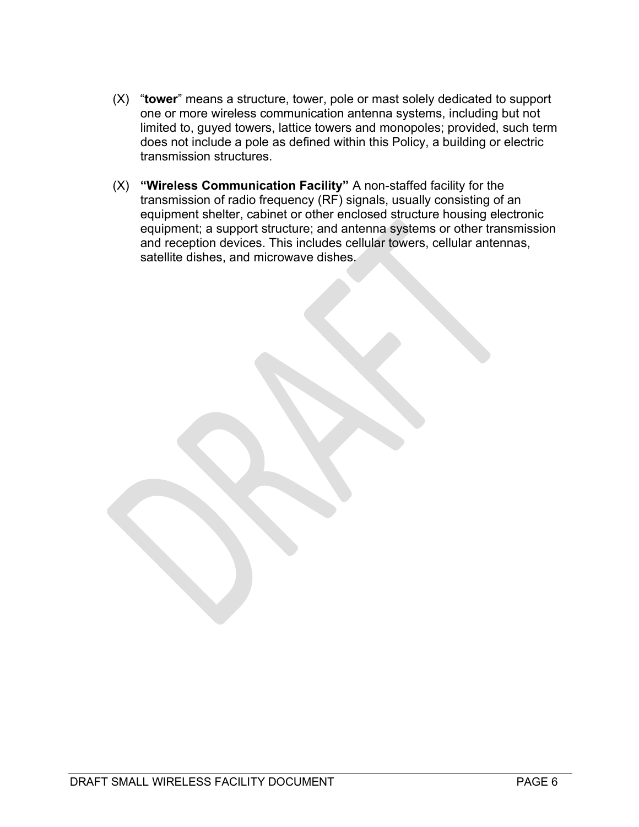- $(X)$  "tower" means a structure, tower, pole or mast solely dedicated to support one or more wireless communication antenna systems, including but not limited to, guyed towers, lattice towers and monopoles; provided, such term does not include a pole as defined within this Policy, a building or electric transmission structures.
- (X) "Wireless Communication Facility" A non-staffed facility for the transmission of radio frequency (RF) signals, usually consisting of an equipment shelter, cabinet or other enclosed structure housing electronic equipment; a support structure; and antenna systems or other transmission and reception devices. This includes cellular towers, cellular antennas, satellite dishes, and microwave dishes.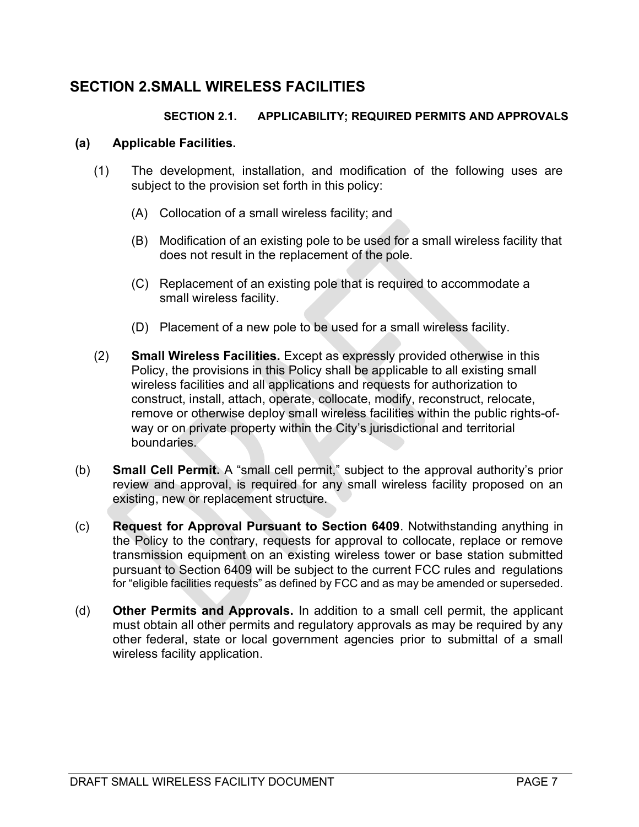## SECTION 2. SMALL WIRELESS FACILITIES

#### SECTION 2.1. APPLICABILITY; REQUIRED PERMITS AND APPROVALS

#### (a) Applicable Facilities.

- (1) The development, installation, and modification of the following uses are subject to the provision set forth in this policy:
	- (A) Collocation of a small wireless facility; and
	- (B) Modification of an existing pole to be used for a small wireless facility that does not result in the replacement of the pole.
	- (C) Replacement of an existing pole that is required to accommodate a small wireless facility.
	- (D) Placement of a new pole to be used for a small wireless facility.
- (2) Small Wireless Facilities. Except as expressly provided otherwise in this Policy, the provisions in this Policy shall be applicable to all existing small wireless facilities and all applications and requests for authorization to construct, install, attach, operate, collocate, modify, reconstruct, relocate, remove or otherwise deploy small wireless facilities within the public rights-ofway or on private property within the City's jurisdictional and territorial boundaries.
- (b) Small Cell Permit. A "small cell permit," subject to the approval authority's prior review and approval, is required for any small wireless facility proposed on an existing, new or replacement structure.
- (c) Request for Approval Pursuant to Section 6409. Notwithstanding anything in the Policy to the contrary, requests for approval to collocate, replace or remove transmission equipment on an existing wireless tower or base station submitted pursuant to Section 6409 will be subject to the current FCC rules and regulations for "eligible facilities requests" as defined by FCC and as may be amended or superseded.
- (d) Other Permits and Approvals. In addition to a small cell permit, the applicant must obtain all other permits and regulatory approvals as may be required by any other federal, state or local government agencies prior to submittal of a small wireless facility application.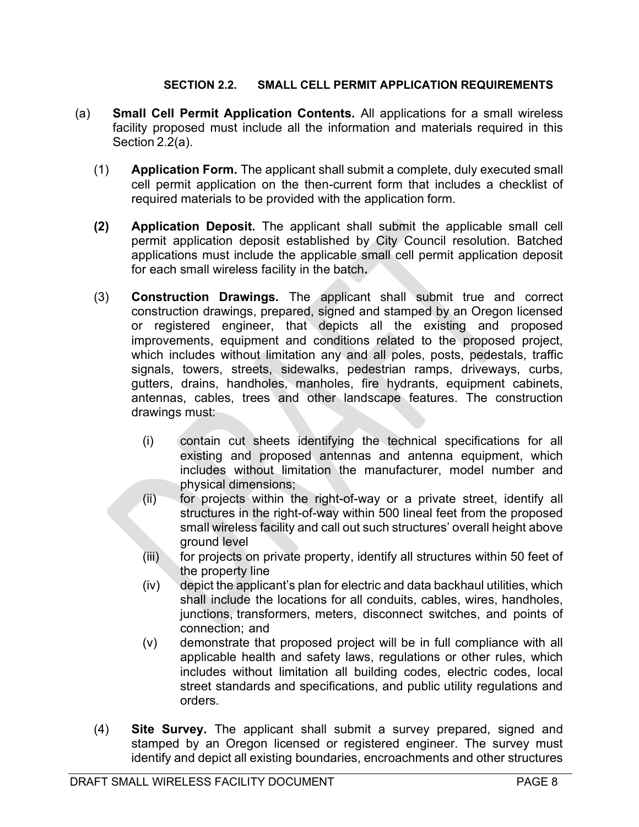#### SECTION 2.2. SMALL CELL PERMIT APPLICATION REQUIREMENTS

- (a) Small Cell Permit Application Contents. All applications for a small wireless facility proposed must include all the information and materials required in this Section 2.2(a).
	- (1) Application Form. The applicant shall submit a complete, duly executed small cell permit application on the then-current form that includes a checklist of required materials to be provided with the application form.
	- (2) Application Deposit. The applicant shall submit the applicable small cell permit application deposit established by City Council resolution. Batched applications must include the applicable small cell permit application deposit for each small wireless facility in the batch.
	- (3) Construction Drawings. The applicant shall submit true and correct construction drawings, prepared, signed and stamped by an Oregon licensed or registered engineer, that depicts all the existing and proposed improvements, equipment and conditions related to the proposed project, which includes without limitation any and all poles, posts, pedestals, traffic signals, towers, streets, sidewalks, pedestrian ramps, driveways, curbs, gutters, drains, handholes, manholes, fire hydrants, equipment cabinets, antennas, cables, trees and other landscape features. The construction drawings must:
		- (i) contain cut sheets identifying the technical specifications for all existing and proposed antennas and antenna equipment, which includes without limitation the manufacturer, model number and physical dimensions;
		- (ii) for projects within the right-of-way or a private street, identify all structures in the right-of-way within 500 lineal feet from the proposed small wireless facility and call out such structures' overall height above ground level
		- $(iii)$  for projects on private property, identify all structures within 50 feet of the property line
		- (iv) depict the applicant's plan for electric and data backhaul utilities, which shall include the locations for all conduits, cables, wires, handholes, junctions, transformers, meters, disconnect switches, and points of connection; and
		- (v) demonstrate that proposed project will be in full compliance with all applicable health and safety laws, regulations or other rules, which includes without limitation all building codes, electric codes, local street standards and specifications, and public utility regulations and orders.
	- (4) Site Survey. The applicant shall submit a survey prepared, signed and stamped by an Oregon licensed or registered engineer. The survey must identify and depict all existing boundaries, encroachments and other structures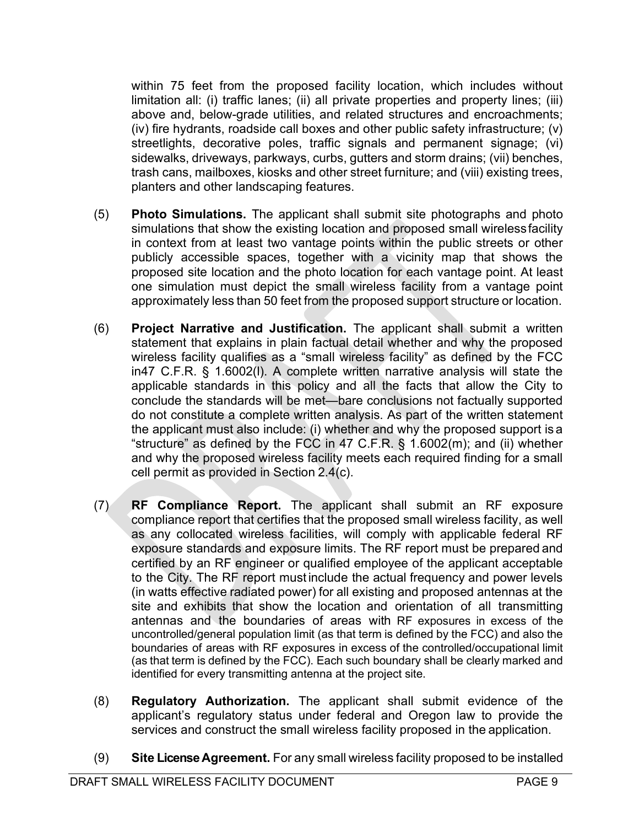within 75 feet from the proposed facility location, which includes without limitation all: (i) traffic lanes; (ii) all private properties and property lines; (iii) above and, below-grade utilities, and related structures and encroachments; (iv) fire hydrants, roadside call boxes and other public safety infrastructure; (v) streetlights, decorative poles, traffic signals and permanent signage; (vi) sidewalks, driveways, parkways, curbs, gutters and storm drains; (vii) benches, trash cans, mailboxes, kiosks and other street furniture; and (viii) existing trees, planters and other landscaping features.

- (5) Photo Simulations. The applicant shall submit site photographs and photo simulations that show the existing location and proposed small wireless facility in context from at least two vantage points within the public streets or other publicly accessible spaces, together with a vicinity map that shows the proposed site location and the photo location for each vantage point. At least one simulation must depict the small wireless facility from a vantage point approximately less than 50 feet from the proposed support structure or location.
- (6) Project Narrative and Justification. The applicant shall submit a written statement that explains in plain factual detail whether and why the proposed wireless facility qualifies as a "small wireless facility" as defined by the FCC in47 C.F.R. § 1.6002(l). A complete written narrative analysis will state the applicable standards in this policy and all the facts that allow the City to conclude the standards will be met—bare conclusions not factually supported do not constitute a complete written analysis. As part of the written statement the applicant must also include: (i) whether and why the proposed support is a "structure" as defined by the FCC in 47 C.F.R. § 1.6002(m); and (ii) whether and why the proposed wireless facility meets each required finding for a small cell permit as provided in Section 2.4(c).
- (7) RF Compliance Report. The applicant shall submit an RF exposure compliance report that certifies that the proposed small wireless facility, as well as any collocated wireless facilities, will comply with applicable federal RF exposure standards and exposure limits. The RF report must be prepared and certified by an RF engineer or qualified employee of the applicant acceptable to the City. The RF report must include the actual frequency and power levels (in watts effective radiated power) for all existing and proposed antennas at the site and exhibits that show the location and orientation of all transmitting antennas and the boundaries of areas with RF exposures in excess of the uncontrolled/general population limit (as that term is defined by the FCC) and also the boundaries of areas with RF exposures in excess of the controlled/occupational limit (as that term is defined by the FCC). Each such boundary shall be clearly marked and identified for every transmitting antenna at the project site.
- (8) Regulatory Authorization. The applicant shall submit evidence of the applicant's regulatory status under federal and Oregon law to provide the services and construct the small wireless facility proposed in the application.
- (9) Site License Agreement. For any small wireless facility proposed to be installed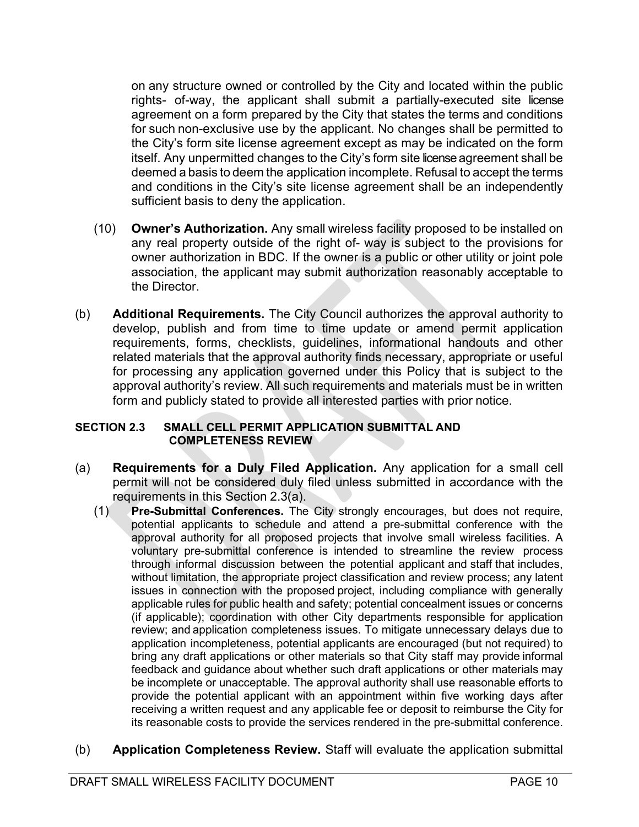on any structure owned or controlled by the City and located within the public rights- of-way, the applicant shall submit a partially-executed site license agreement on a form prepared by the City that states the terms and conditions for such non-exclusive use by the applicant. No changes shall be permitted to the City's form site license agreement except as may be indicated on the form itself. Any unpermitted changes to the City's form site license agreement shall be deemed a basis to deem the application incomplete. Refusal to accept the terms and conditions in the City's site license agreement shall be an independently sufficient basis to deny the application.

- (10) Owner's Authorization. Any small wireless facility proposed to be installed on any real property outside of the right of- way is subject to the provisions for owner authorization in BDC. If the owner is a public or other utility or joint pole association, the applicant may submit authorization reasonably acceptable to the Director.
- (b) Additional Requirements. The City Council authorizes the approval authority to develop, publish and from time to time update or amend permit application requirements, forms, checklists, guidelines, informational handouts and other related materials that the approval authority finds necessary, appropriate or useful for processing any application governed under this Policy that is subject to the approval authority's review. All such requirements and materials must be in written form and publicly stated to provide all interested parties with prior notice.

#### SECTION 2.3 SMALL CELL PERMIT APPLICATION SUBMITTAL AND COMPLETENESS REVIEW

- (a) Requirements for a Duly Filed Application. Any application for a small cell permit will not be considered duly filed unless submitted in accordance with the requirements in this Section 2.3(a).
	- (1) Pre-Submittal Conferences. The City strongly encourages, but does not require, potential applicants to schedule and attend a pre-submittal conference with the approval authority for all proposed projects that involve small wireless facilities. A voluntary pre-submittal conference is intended to streamline the review process through informal discussion between the potential applicant and staff that includes, without limitation, the appropriate project classification and review process; any latent issues in connection with the proposed project, including compliance with generally applicable rules for public health and safety; potential concealment issues or concerns (if applicable); coordination with other City departments responsible for application review; and application completeness issues. To mitigate unnecessary delays due to application incompleteness, potential applicants are encouraged (but not required) to bring any draft applications or other materials so that City staff may provide informal feedback and guidance about whether such draft applications or other materials may be incomplete or unacceptable. The approval authority shall use reasonable efforts to provide the potential applicant with an appointment within five working days after receiving a written request and any applicable fee or deposit to reimburse the City for its reasonable costs to provide the services rendered in the pre-submittal conference.
- (b) Application Completeness Review. Staff will evaluate the application submittal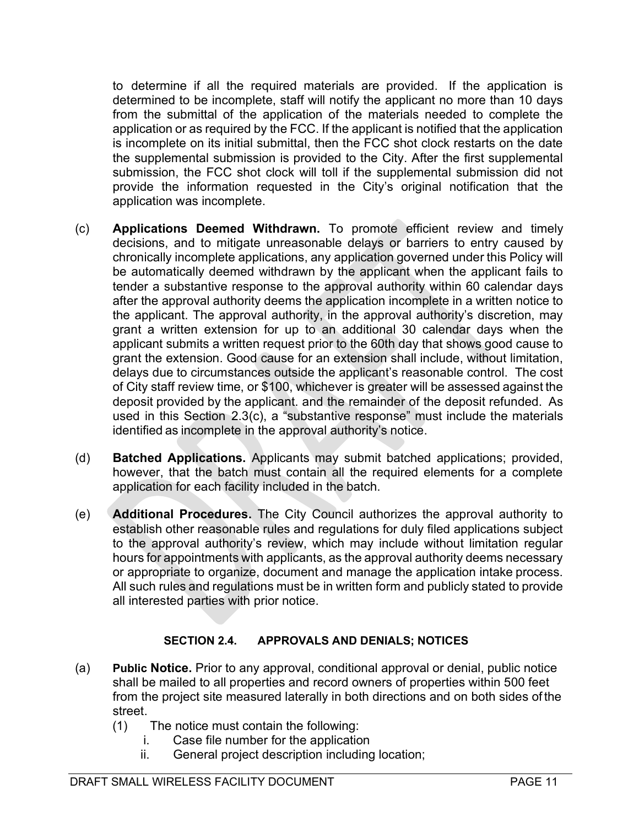to determine if all the required materials are provided. If the application is determined to be incomplete, staff will notify the applicant no more than 10 days from the submittal of the application of the materials needed to complete the application or as required by the FCC. If the applicant is notified that the application is incomplete on its initial submittal, then the FCC shot clock restarts on the date the supplemental submission is provided to the City. After the first supplemental submission, the FCC shot clock will toll if the supplemental submission did not provide the information requested in the City's original notification that the application was incomplete.

- (c) Applications Deemed Withdrawn. To promote efficient review and timely decisions, and to mitigate unreasonable delays or barriers to entry caused by chronically incomplete applications, any application governed under this Policy will be automatically deemed withdrawn by the applicant when the applicant fails to tender a substantive response to the approval authority within 60 calendar days after the approval authority deems the application incomplete in a written notice to the applicant. The approval authority, in the approval authority's discretion, may grant a written extension for up to an additional 30 calendar days when the applicant submits a written request prior to the 60th day that shows good cause to grant the extension. Good cause for an extension shall include, without limitation, delays due to circumstances outside the applicant's reasonable control. The cost of City staff review time, or \$100, whichever is greater will be assessed against the deposit provided by the applicant. and the remainder of the deposit refunded. As used in this Section 2.3(c), a "substantive response" must include the materials identified as incomplete in the approval authority's notice.
- (d) Batched Applications. Applicants may submit batched applications; provided, however, that the batch must contain all the required elements for a complete application for each facility included in the batch.
- (e) Additional Procedures. The City Council authorizes the approval authority to establish other reasonable rules and regulations for duly filed applications subject to the approval authority's review, which may include without limitation regular hours for appointments with applicants, as the approval authority deems necessary or appropriate to organize, document and manage the application intake process. All such rules and regulations must be in written form and publicly stated to provide all interested parties with prior notice.

#### SECTION 2.4. APPROVALS AND DENIALS; NOTICES

- (a) Public Notice. Prior to any approval, conditional approval or denial, public notice shall be mailed to all properties and record owners of properties within 500 feet from the project site measured laterally in both directions and on both sides of the street.
	- (1) The notice must contain the following:
		- i. Case file number for the application
		- ii. General project description including location;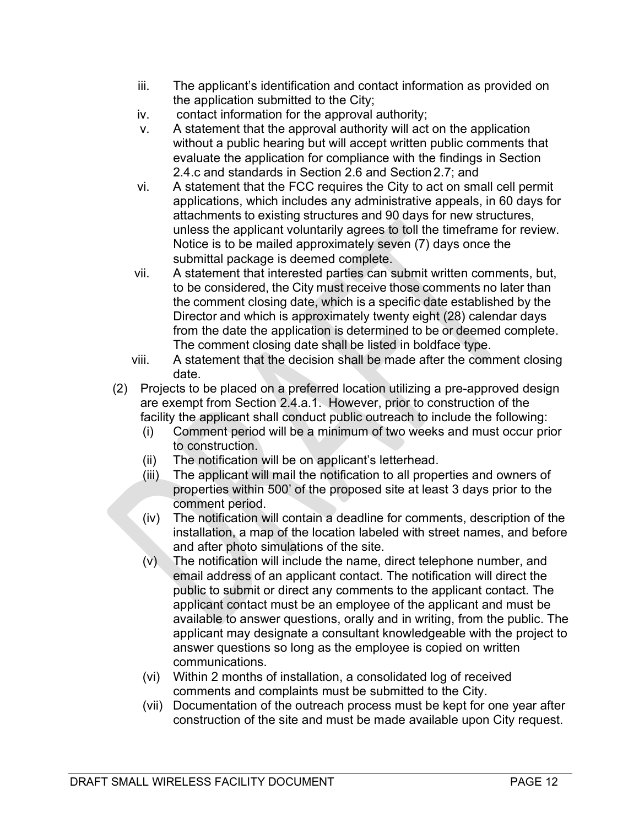- iii. The applicant's identification and contact information as provided on the application submitted to the City;
- iv. contact information for the approval authority;
- v. A statement that the approval authority will act on the application without a public hearing but will accept written public comments that evaluate the application for compliance with the findings in Section 2.4.c and standards in Section 2.6 and Section 2.7; and
- vi. A statement that the FCC requires the City to act on small cell permit applications, which includes any administrative appeals, in 60 days for attachments to existing structures and 90 days for new structures, unless the applicant voluntarily agrees to toll the timeframe for review. Notice is to be mailed approximately seven (7) days once the submittal package is deemed complete.
- vii. A statement that interested parties can submit written comments, but, to be considered, the City must receive those comments no later than the comment closing date, which is a specific date established by the Director and which is approximately twenty eight (28) calendar days from the date the application is determined to be or deemed complete. The comment closing date shall be listed in boldface type.
- viii. A statement that the decision shall be made after the comment closing date.
- (2) Projects to be placed on a preferred location utilizing a pre-approved design are exempt from Section 2.4.a.1. However, prior to construction of the facility the applicant shall conduct public outreach to include the following:
	- (i) Comment period will be a minimum of two weeks and must occur prior to construction.
	- (ii) The notification will be on applicant's letterhead.
	- (iii) The applicant will mail the notification to all properties and owners of properties within 500' of the proposed site at least 3 days prior to the comment period.
	- (iv) The notification will contain a deadline for comments, description of the installation, a map of the location labeled with street names, and before and after photo simulations of the site.
	- (v) The notification will include the name, direct telephone number, and email address of an applicant contact. The notification will direct the public to submit or direct any comments to the applicant contact. The applicant contact must be an employee of the applicant and must be available to answer questions, orally and in writing, from the public. The applicant may designate a consultant knowledgeable with the project to answer questions so long as the employee is copied on written communications.
	- (vi) Within 2 months of installation, a consolidated log of received comments and complaints must be submitted to the City.
	- (vii) Documentation of the outreach process must be kept for one year after construction of the site and must be made available upon City request.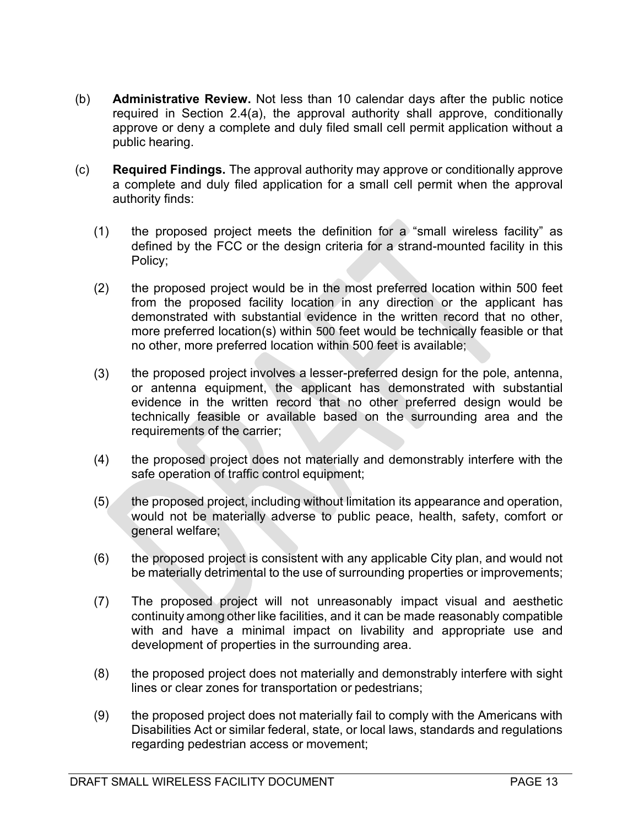- (b) Administrative Review. Not less than 10 calendar days after the public notice required in Section 2.4(a), the approval authority shall approve, conditionally approve or deny a complete and duly filed small cell permit application without a public hearing.
- (c) Required Findings. The approval authority may approve or conditionally approve a complete and duly filed application for a small cell permit when the approval authority finds:
	- (1) the proposed project meets the definition for a "small wireless facility" as defined by the FCC or the design criteria for a strand-mounted facility in this Policy;
	- (2) the proposed project would be in the most preferred location within 500 feet from the proposed facility location in any direction or the applicant has demonstrated with substantial evidence in the written record that no other, more preferred location(s) within 500 feet would be technically feasible or that no other, more preferred location within 500 feet is available;
	- (3) the proposed project involves a lesser-preferred design for the pole, antenna, or antenna equipment, the applicant has demonstrated with substantial evidence in the written record that no other preferred design would be technically feasible or available based on the surrounding area and the requirements of the carrier;
	- (4) the proposed project does not materially and demonstrably interfere with the safe operation of traffic control equipment;
	- (5) the proposed project, including without limitation its appearance and operation, would not be materially adverse to public peace, health, safety, comfort or general welfare;
	- (6) the proposed project is consistent with any applicable City plan, and would not be materially detrimental to the use of surrounding properties or improvements;
	- (7) The proposed project will not unreasonably impact visual and aesthetic continuity among other like facilities, and it can be made reasonably compatible with and have a minimal impact on livability and appropriate use and development of properties in the surrounding area.
	- (8) the proposed project does not materially and demonstrably interfere with sight lines or clear zones for transportation or pedestrians;
	- (9) the proposed project does not materially fail to comply with the Americans with Disabilities Act or similar federal, state, or local laws, standards and regulations regarding pedestrian access or movement;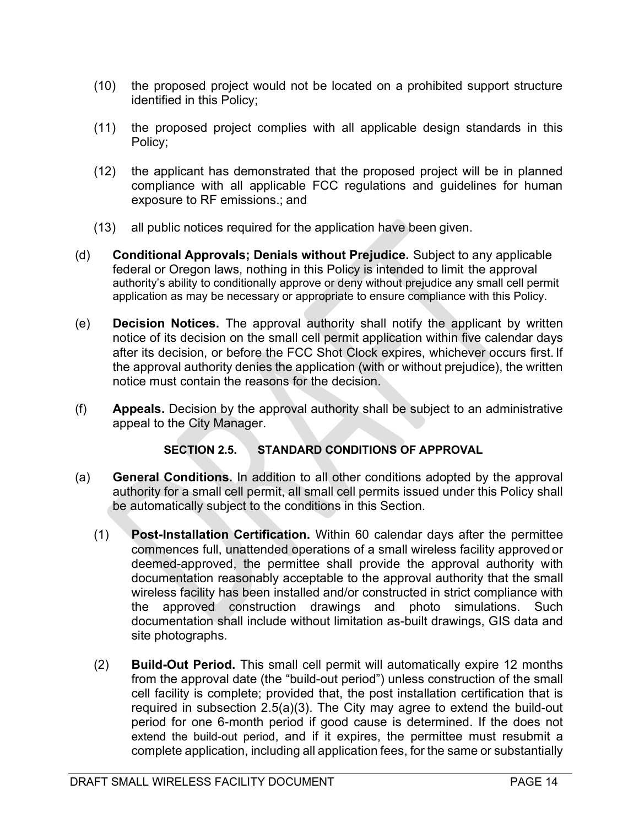- (10) the proposed project would not be located on a prohibited support structure identified in this Policy;
- (11) the proposed project complies with all applicable design standards in this Policy;
- (12) the applicant has demonstrated that the proposed project will be in planned compliance with all applicable FCC regulations and guidelines for human exposure to RF emissions.; and
- (13) all public notices required for the application have been given.
- (d) Conditional Approvals; Denials without Prejudice. Subject to any applicable federal or Oregon laws, nothing in this Policy is intended to limit the approval authority's ability to conditionally approve or deny without prejudice any small cell permit application as may be necessary or appropriate to ensure compliance with this Policy.
- (e) Decision Notices. The approval authority shall notify the applicant by written notice of its decision on the small cell permit application within five calendar days after its decision, or before the FCC Shot Clock expires, whichever occurs first. If the approval authority denies the application (with or without prejudice), the written notice must contain the reasons for the decision.
- (f) Appeals. Decision by the approval authority shall be subject to an administrative appeal to the City Manager.

#### SECTION 2.5. STANDARD CONDITIONS OF APPROVAL

- (a) General Conditions. In addition to all other conditions adopted by the approval authority for a small cell permit, all small cell permits issued under this Policy shall be automatically subject to the conditions in this Section.
	- (1) Post-Installation Certification. Within 60 calendar days after the permittee commences full, unattended operations of a small wireless facility approved or deemed-approved, the permittee shall provide the approval authority with documentation reasonably acceptable to the approval authority that the small wireless facility has been installed and/or constructed in strict compliance with the approved construction drawings and photo simulations. Such documentation shall include without limitation as-built drawings, GIS data and site photographs.
	- (2) Build-Out Period. This small cell permit will automatically expire 12 months from the approval date (the "build-out period") unless construction of the small cell facility is complete; provided that, the post installation certification that is required in subsection 2.5(a)(3). The City may agree to extend the build-out period for one 6-month period if good cause is determined. If the does not extend the build-out period, and if it expires, the permittee must resubmit a complete application, including all application fees, for the same or substantially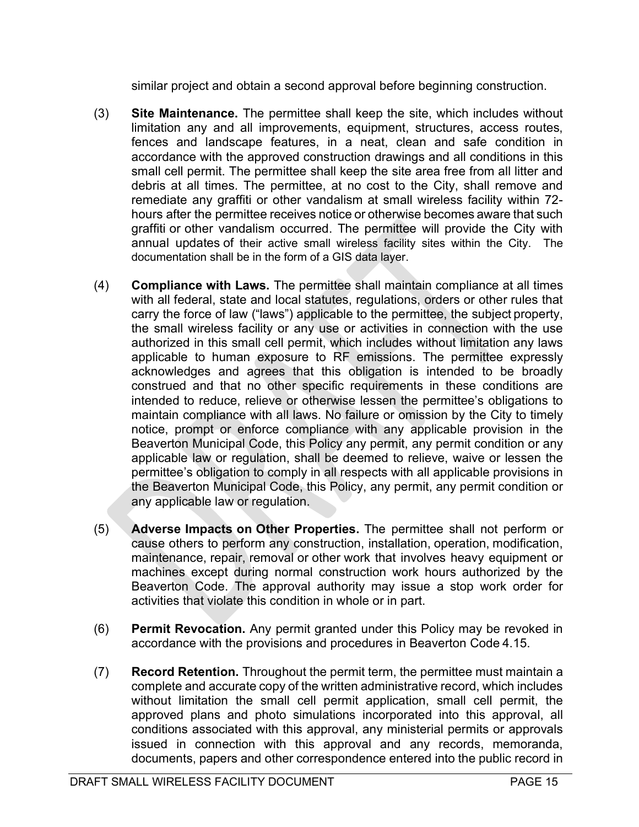similar project and obtain a second approval before beginning construction.

- (3) Site Maintenance. The permittee shall keep the site, which includes without limitation any and all improvements, equipment, structures, access routes, fences and landscape features, in a neat, clean and safe condition in accordance with the approved construction drawings and all conditions in this small cell permit. The permittee shall keep the site area free from all litter and debris at all times. The permittee, at no cost to the City, shall remove and remediate any graffiti or other vandalism at small wireless facility within 72 hours after the permittee receives notice or otherwise becomes aware that such graffiti or other vandalism occurred. The permittee will provide the City with annual updates of their active small wireless facility sites within the City. The documentation shall be in the form of a GIS data layer.
- (4) Compliance with Laws. The permittee shall maintain compliance at all times with all federal, state and local statutes, regulations, orders or other rules that carry the force of law ("laws") applicable to the permittee, the subject property, the small wireless facility or any use or activities in connection with the use authorized in this small cell permit, which includes without limitation any laws applicable to human exposure to RF emissions. The permittee expressly acknowledges and agrees that this obligation is intended to be broadly construed and that no other specific requirements in these conditions are intended to reduce, relieve or otherwise lessen the permittee's obligations to maintain compliance with all laws. No failure or omission by the City to timely notice, prompt or enforce compliance with any applicable provision in the Beaverton Municipal Code, this Policy any permit, any permit condition or any applicable law or regulation, shall be deemed to relieve, waive or lessen the permittee's obligation to comply in all respects with all applicable provisions in the Beaverton Municipal Code, this Policy, any permit, any permit condition or any applicable law or regulation.
- (5) Adverse Impacts on Other Properties. The permittee shall not perform or cause others to perform any construction, installation, operation, modification, maintenance, repair, removal or other work that involves heavy equipment or machines except during normal construction work hours authorized by the Beaverton Code. The approval authority may issue a stop work order for activities that violate this condition in whole or in part.
- (6) Permit Revocation. Any permit granted under this Policy may be revoked in accordance with the provisions and procedures in Beaverton Code 4.15.
- (7) Record Retention. Throughout the permit term, the permittee must maintain a complete and accurate copy of the written administrative record, which includes without limitation the small cell permit application, small cell permit, the approved plans and photo simulations incorporated into this approval, all conditions associated with this approval, any ministerial permits or approvals issued in connection with this approval and any records, memoranda, documents, papers and other correspondence entered into the public record in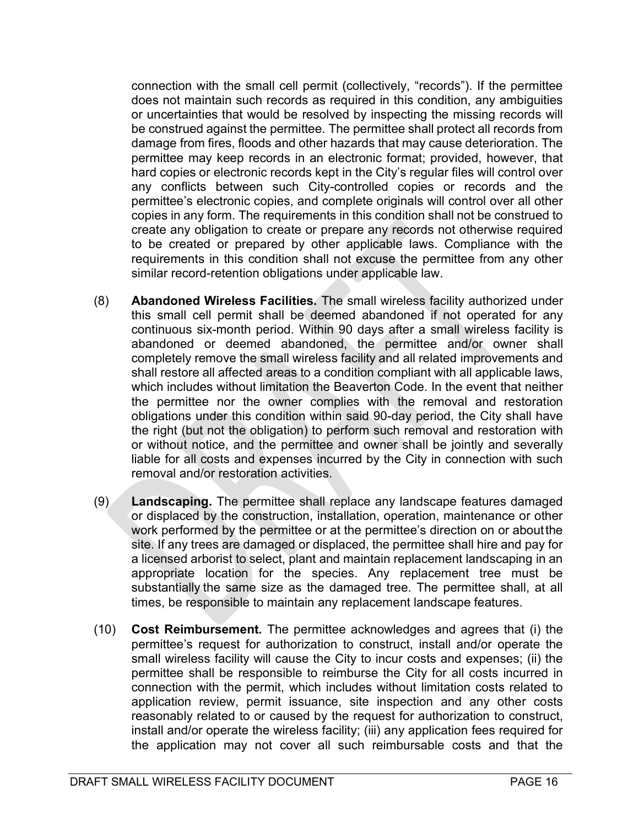connection with the small cell permit (collectively, "records"). If the permittee does not maintain such records as required in this condition, any ambiguities or uncertainties that would be resolved by inspecting the missing records will be construed against the permittee. The permittee shall protect all records from damage from fires, floods and other hazards that may cause deterioration. The permittee may keep records in an electronic format; provided, however, that hard copies or electronic records kept in the City's regular files will control over any conflicts between such City-controlled copies or records and the permittee's electronic copies, and complete originals will control over all other copies in any form. The requirements in this condition shall not be construed to create any obligation to create or prepare any records not otherwise required to be created or prepared by other applicable laws. Compliance with the requirements in this condition shall not excuse the permittee from any other similar record-retention obligations under applicable law.

- (8) Abandoned Wireless Facilities. The small wireless facility authorized under this small cell permit shall be deemed abandoned if not operated for any continuous six-month period. Within 90 days after a small wireless facility is abandoned or deemed abandoned, the permittee and/or owner shall completely remove the small wireless facility and all related improvements and shall restore all affected areas to a condition compliant with all applicable laws, which includes without limitation the Beaverton Code. In the event that neither the permittee nor the owner complies with the removal and restoration obligations under this condition within said 90-day period, the City shall have the right (but not the obligation) to perform such removal and restoration with or without notice, and the permittee and owner shall be jointly and severally liable for all costs and expenses incurred by the City in connection with such removal and/or restoration activities.
- (9) Landscaping. The permittee shall replace any landscape features damaged or displaced by the construction, installation, operation, maintenance or other work performed by the permittee or at the permittee's direction on or about the site. If any trees are damaged or displaced, the permittee shall hire and pay for a licensed arborist to select, plant and maintain replacement landscaping in an appropriate location for the species. Any replacement tree must be substantially the same size as the damaged tree. The permittee shall, at all times, be responsible to maintain any replacement landscape features.
- (10) Cost Reimbursement. The permittee acknowledges and agrees that (i) the permittee's request for authorization to construct, install and/or operate the small wireless facility will cause the City to incur costs and expenses; (ii) the permittee shall be responsible to reimburse the City for all costs incurred in connection with the permit, which includes without limitation costs related to application review, permit issuance, site inspection and any other costs reasonably related to or caused by the request for authorization to construct, install and/or operate the wireless facility; (iii) any application fees required for the application may not cover all such reimbursable costs and that the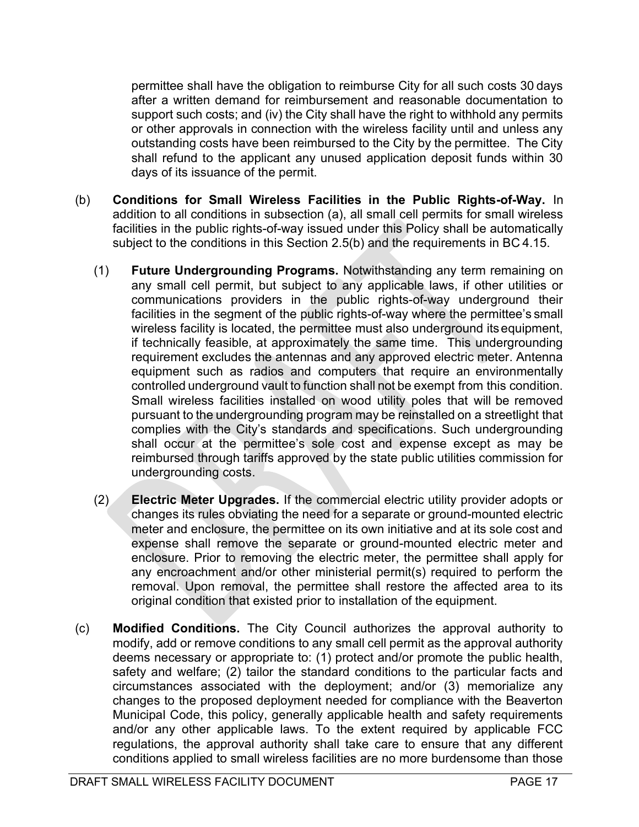permittee shall have the obligation to reimburse City for all such costs 30 days after a written demand for reimbursement and reasonable documentation to support such costs; and (iv) the City shall have the right to withhold any permits or other approvals in connection with the wireless facility until and unless any outstanding costs have been reimbursed to the City by the permittee. The City shall refund to the applicant any unused application deposit funds within 30 days of its issuance of the permit.

- (b) Conditions for Small Wireless Facilities in the Public Rights-of-Way. In addition to all conditions in subsection (a), all small cell permits for small wireless facilities in the public rights-of-way issued under this Policy shall be automatically subject to the conditions in this Section 2.5(b) and the requirements in BC 4.15.
	- (1) Future Undergrounding Programs. Notwithstanding any term remaining on any small cell permit, but subject to any applicable laws, if other utilities or communications providers in the public rights-of-way underground their facilities in the segment of the public rights-of-way where the permittee's small wireless facility is located, the permittee must also underground its equipment, if technically feasible, at approximately the same time. This undergrounding requirement excludes the antennas and any approved electric meter. Antenna equipment such as radios and computers that require an environmentally controlled underground vault to function shall not be exempt from this condition. Small wireless facilities installed on wood utility poles that will be removed pursuant to the undergrounding program may be reinstalled on a streetlight that complies with the City's standards and specifications. Such undergrounding shall occur at the permittee's sole cost and expense except as may be reimbursed through tariffs approved by the state public utilities commission for undergrounding costs.
	- (2) Electric Meter Upgrades. If the commercial electric utility provider adopts or changes its rules obviating the need for a separate or ground-mounted electric meter and enclosure, the permittee on its own initiative and at its sole cost and expense shall remove the separate or ground-mounted electric meter and enclosure. Prior to removing the electric meter, the permittee shall apply for any encroachment and/or other ministerial permit(s) required to perform the removal. Upon removal, the permittee shall restore the affected area to its original condition that existed prior to installation of the equipment.
- (c) Modified Conditions. The City Council authorizes the approval authority to modify, add or remove conditions to any small cell permit as the approval authority deems necessary or appropriate to: (1) protect and/or promote the public health, safety and welfare; (2) tailor the standard conditions to the particular facts and circumstances associated with the deployment; and/or (3) memorialize any changes to the proposed deployment needed for compliance with the Beaverton Municipal Code, this policy, generally applicable health and safety requirements and/or any other applicable laws. To the extent required by applicable FCC regulations, the approval authority shall take care to ensure that any different conditions applied to small wireless facilities are no more burdensome than those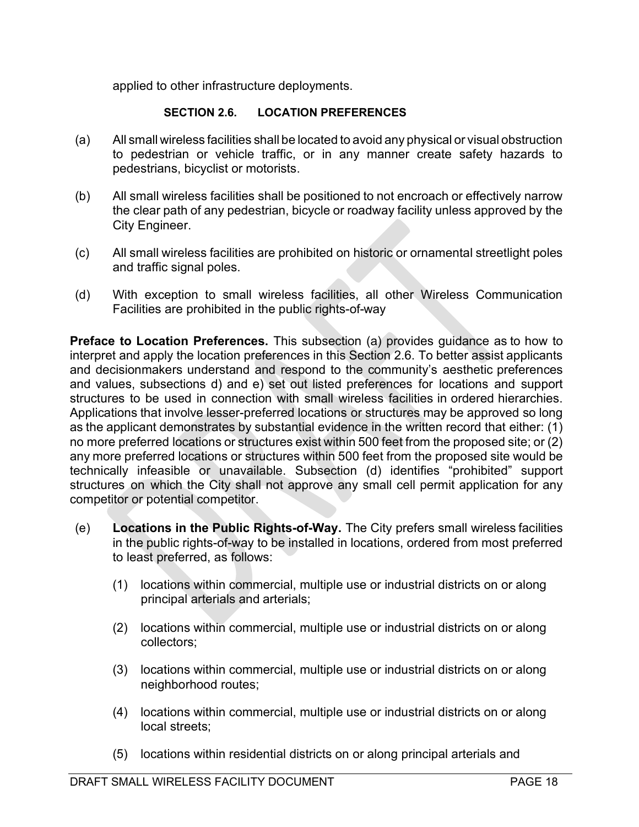applied to other infrastructure deployments.

### SECTION 2.6. LOCATION PREFERENCES

- (a) All small wireless facilities shall be located to avoid any physical or visual obstruction to pedestrian or vehicle traffic, or in any manner create safety hazards to pedestrians, bicyclist or motorists.
- (b) All small wireless facilities shall be positioned to not encroach or effectively narrow the clear path of any pedestrian, bicycle or roadway facility unless approved by the City Engineer.
- (c) All small wireless facilities are prohibited on historic or ornamental streetlight poles and traffic signal poles.
- (d) With exception to small wireless facilities, all other Wireless Communication Facilities are prohibited in the public rights-of-way

**Preface to Location Preferences.** This subsection (a) provides guidance as to how to interpret and apply the location preferences in this Section 2.6. To better assist applicants and decisionmakers understand and respond to the community's aesthetic preferences and values, subsections d) and e) set out listed preferences for locations and support structures to be used in connection with small wireless facilities in ordered hierarchies. Applications that involve lesser-preferred locations or structures may be approved so long as the applicant demonstrates by substantial evidence in the written record that either: (1) no more preferred locations or structures exist within 500 feet from the proposed site; or (2) any more preferred locations or structures within 500 feet from the proposed site would be technically infeasible or unavailable. Subsection (d) identifies "prohibited" support structures on which the City shall not approve any small cell permit application for any competitor or potential competitor.

- (e) Locations in the Public Rights-of-Way. The City prefers small wireless facilities in the public rights-of-way to be installed in locations, ordered from most preferred to least preferred, as follows:
	- (1) locations within commercial, multiple use or industrial districts on or along principal arterials and arterials;
	- (2) locations within commercial, multiple use or industrial districts on or along collectors;
	- (3) locations within commercial, multiple use or industrial districts on or along neighborhood routes;
	- (4) locations within commercial, multiple use or industrial districts on or along local streets;
	- (5) locations within residential districts on or along principal arterials and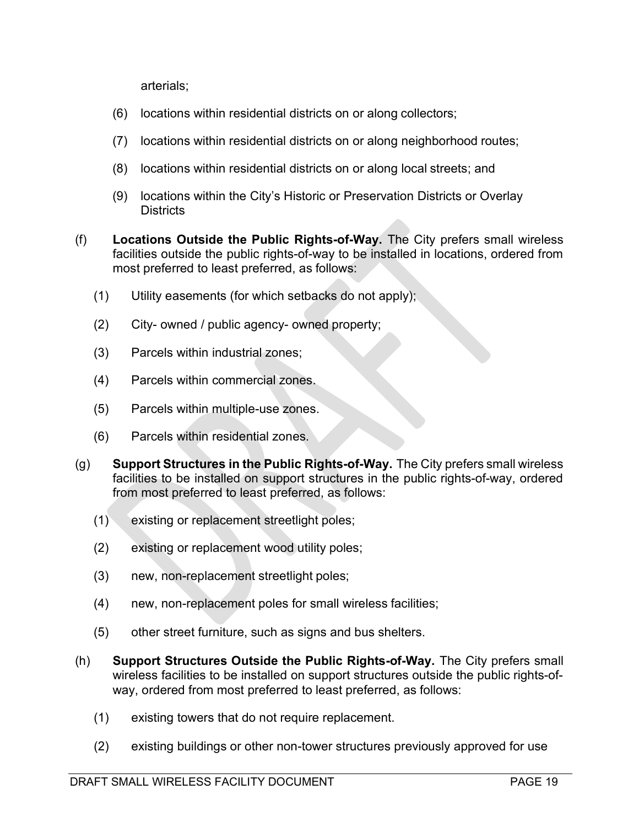arterials;

- (6) locations within residential districts on or along collectors;
- (7) locations within residential districts on or along neighborhood routes;
- (8) locations within residential districts on or along local streets; and
- (9) locations within the City's Historic or Preservation Districts or Overlay **Districts**
- (f) Locations Outside the Public Rights-of-Way. The City prefers small wireless facilities outside the public rights-of-way to be installed in locations, ordered from most preferred to least preferred, as follows:
	- (1) Utility easements (for which setbacks do not apply);
	- (2) City- owned / public agency- owned property;
	- (3) Parcels within industrial zones;
	- (4) Parcels within commercial zones.
	- (5) Parcels within multiple-use zones.
	- (6) Parcels within residential zones.
- (g) Support Structures in the Public Rights-of-Way. The City prefers small wireless facilities to be installed on support structures in the public rights-of-way, ordered from most preferred to least preferred, as follows:
	- (1) existing or replacement streetlight poles;
	- (2) existing or replacement wood utility poles;
	- (3) new, non-replacement streetlight poles;
	- (4) new, non-replacement poles for small wireless facilities;
	- (5) other street furniture, such as signs and bus shelters.
- (h) Support Structures Outside the Public Rights-of-Way. The City prefers small wireless facilities to be installed on support structures outside the public rights-ofway, ordered from most preferred to least preferred, as follows:
	- (1) existing towers that do not require replacement.
	- (2) existing buildings or other non-tower structures previously approved for use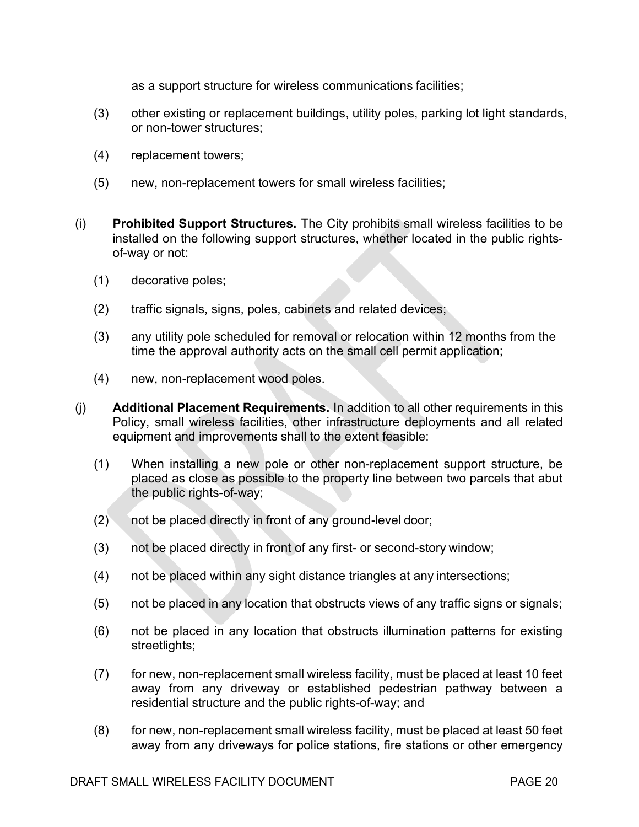as a support structure for wireless communications facilities;

- (3) other existing or replacement buildings, utility poles, parking lot light standards, or non-tower structures;
- (4) replacement towers;
- (5) new, non-replacement towers for small wireless facilities;
- (i) Prohibited Support Structures. The City prohibits small wireless facilities to be installed on the following support structures, whether located in the public rightsof-way or not:
	- (1) decorative poles;
	- (2) traffic signals, signs, poles, cabinets and related devices;
	- (3) any utility pole scheduled for removal or relocation within 12 months from the time the approval authority acts on the small cell permit application;
	- (4) new, non-replacement wood poles.
- (j) Additional Placement Requirements. In addition to all other requirements in this Policy, small wireless facilities, other infrastructure deployments and all related equipment and improvements shall to the extent feasible:
	- (1) When installing a new pole or other non-replacement support structure, be placed as close as possible to the property line between two parcels that abut the public rights-of-way;
	- (2) not be placed directly in front of any ground-level door;
	- (3) not be placed directly in front of any first- or second-story window;
	- (4) not be placed within any sight distance triangles at any intersections;
	- (5) not be placed in any location that obstructs views of any traffic signs or signals;
	- (6) not be placed in any location that obstructs illumination patterns for existing streetlights;
	- (7) for new, non-replacement small wireless facility, must be placed at least 10 feet away from any driveway or established pedestrian pathway between a residential structure and the public rights-of-way; and
	- (8) for new, non-replacement small wireless facility, must be placed at least 50 feet away from any driveways for police stations, fire stations or other emergency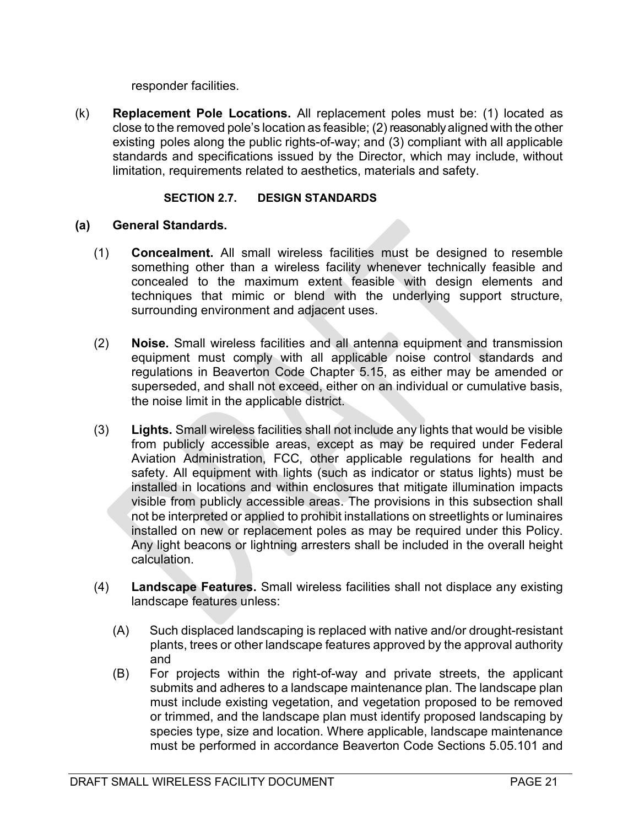responder facilities.

(k) Replacement Pole Locations. All replacement poles must be: (1) located as close to the removed pole's location as feasible; (2) reasonably aligned with the other existing poles along the public rights-of-way; and (3) compliant with all applicable standards and specifications issued by the Director, which may include, without limitation, requirements related to aesthetics, materials and safety.

#### SECTION 2.7. DESIGN STANDARDS

#### (a) General Standards.

- (1) Concealment. All small wireless facilities must be designed to resemble something other than a wireless facility whenever technically feasible and concealed to the maximum extent feasible with design elements and techniques that mimic or blend with the underlying support structure, surrounding environment and adjacent uses.
- (2) Noise. Small wireless facilities and all antenna equipment and transmission equipment must comply with all applicable noise control standards and regulations in Beaverton Code Chapter 5.15, as either may be amended or superseded, and shall not exceed, either on an individual or cumulative basis, the noise limit in the applicable district.
- (3) Lights. Small wireless facilities shall not include any lights that would be visible from publicly accessible areas, except as may be required under Federal Aviation Administration, FCC, other applicable regulations for health and safety. All equipment with lights (such as indicator or status lights) must be installed in locations and within enclosures that mitigate illumination impacts visible from publicly accessible areas. The provisions in this subsection shall not be interpreted or applied to prohibit installations on streetlights or luminaires installed on new or replacement poles as may be required under this Policy. Any light beacons or lightning arresters shall be included in the overall height calculation.
- (4) Landscape Features. Small wireless facilities shall not displace any existing landscape features unless:
	- (A) Such displaced landscaping is replaced with native and/or drought-resistant plants, trees or other landscape features approved by the approval authority and
	- (B) For projects within the right-of-way and private streets, the applicant submits and adheres to a landscape maintenance plan. The landscape plan must include existing vegetation, and vegetation proposed to be removed or trimmed, and the landscape plan must identify proposed landscaping by species type, size and location. Where applicable, landscape maintenance must be performed in accordance Beaverton Code Sections 5.05.101 and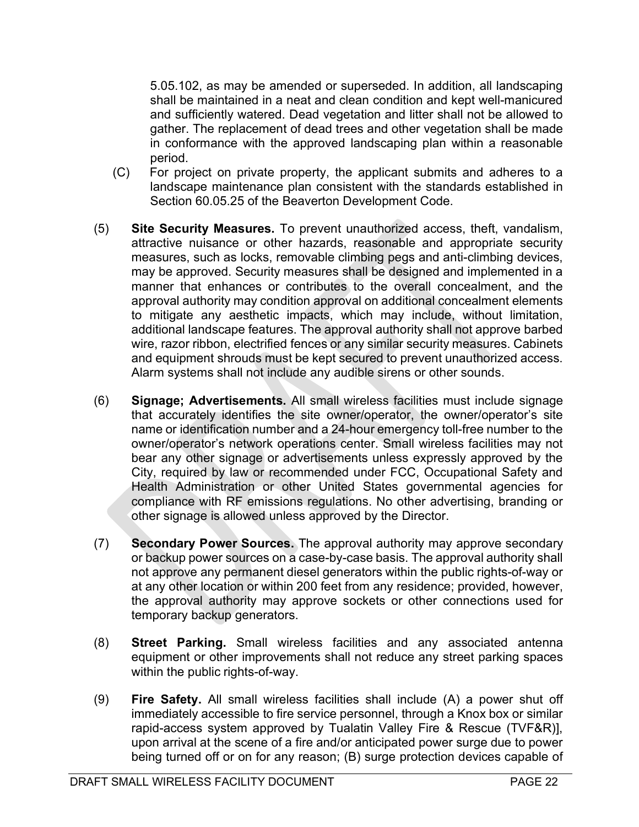5.05.102, as may be amended or superseded. In addition, all landscaping shall be maintained in a neat and clean condition and kept well-manicured and sufficiently watered. Dead vegetation and litter shall not be allowed to gather. The replacement of dead trees and other vegetation shall be made in conformance with the approved landscaping plan within a reasonable period.

- (C) For project on private property, the applicant submits and adheres to a landscape maintenance plan consistent with the standards established in Section 60.05.25 of the Beaverton Development Code.
- (5) Site Security Measures. To prevent unauthorized access, theft, vandalism, attractive nuisance or other hazards, reasonable and appropriate security measures, such as locks, removable climbing pegs and anti-climbing devices, may be approved. Security measures shall be designed and implemented in a manner that enhances or contributes to the overall concealment, and the approval authority may condition approval on additional concealment elements to mitigate any aesthetic impacts, which may include, without limitation, additional landscape features. The approval authority shall not approve barbed wire, razor ribbon, electrified fences or any similar security measures. Cabinets and equipment shrouds must be kept secured to prevent unauthorized access. Alarm systems shall not include any audible sirens or other sounds.
- (6) Signage; Advertisements. All small wireless facilities must include signage that accurately identifies the site owner/operator, the owner/operator's site name or identification number and a 24-hour emergency toll-free number to the owner/operator's network operations center. Small wireless facilities may not bear any other signage or advertisements unless expressly approved by the City, required by law or recommended under FCC, Occupational Safety and Health Administration or other United States governmental agencies for compliance with RF emissions regulations. No other advertising, branding or other signage is allowed unless approved by the Director.
- (7) Secondary Power Sources. The approval authority may approve secondary or backup power sources on a case-by-case basis. The approval authority shall not approve any permanent diesel generators within the public rights-of-way or at any other location or within 200 feet from any residence; provided, however, the approval authority may approve sockets or other connections used for temporary backup generators.
- (8) Street Parking. Small wireless facilities and any associated antenna equipment or other improvements shall not reduce any street parking spaces within the public rights-of-way.
- (9) Fire Safety. All small wireless facilities shall include (A) a power shut off immediately accessible to fire service personnel, through a Knox box or similar rapid-access system approved by Tualatin Valley Fire & Rescue (TVF&R)], upon arrival at the scene of a fire and/or anticipated power surge due to power being turned off or on for any reason; (B) surge protection devices capable of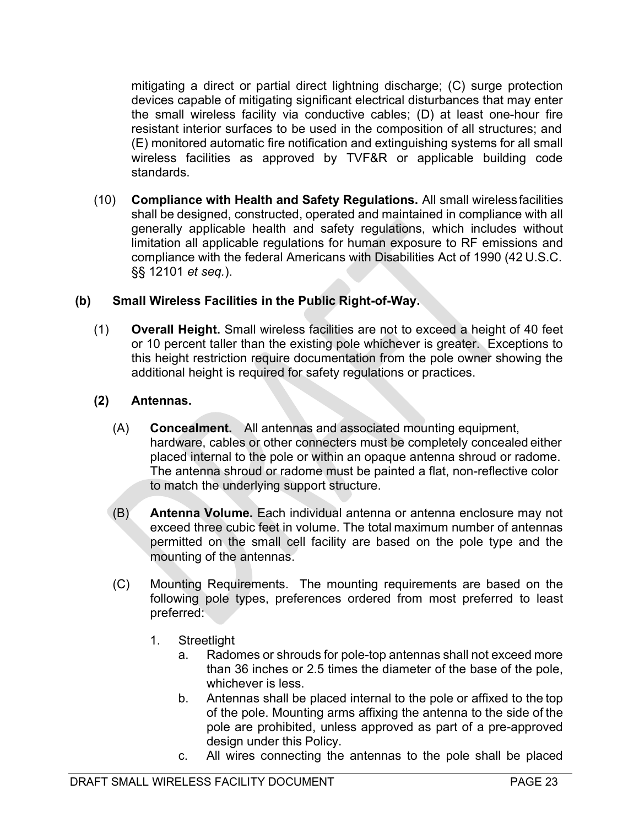mitigating a direct or partial direct lightning discharge; (C) surge protection devices capable of mitigating significant electrical disturbances that may enter the small wireless facility via conductive cables; (D) at least one-hour fire resistant interior surfaces to be used in the composition of all structures; and (E) monitored automatic fire notification and extinguishing systems for all small wireless facilities as approved by TVF&R or applicable building code standards.

(10) Compliance with Health and Safety Regulations. All small wireless facilities shall be designed, constructed, operated and maintained in compliance with all generally applicable health and safety regulations, which includes without limitation all applicable regulations for human exposure to RF emissions and compliance with the federal Americans with Disabilities Act of 1990 (42 U.S.C. §§ 12101 et seq.).

#### (b) Small Wireless Facilities in the Public Right-of-Way.

(1) Overall Height. Small wireless facilities are not to exceed a height of 40 feet or 10 percent taller than the existing pole whichever is greater. Exceptions to this height restriction require documentation from the pole owner showing the additional height is required for safety regulations or practices.

## (2) Antennas.

- (A) Concealment. All antennas and associated mounting equipment, hardware, cables or other connecters must be completely concealed either placed internal to the pole or within an opaque antenna shroud or radome. The antenna shroud or radome must be painted a flat, non-reflective color to match the underlying support structure.
- (B) Antenna Volume. Each individual antenna or antenna enclosure may not exceed three cubic feet in volume. The total maximum number of antennas permitted on the small cell facility are based on the pole type and the mounting of the antennas.
- (C) Mounting Requirements. The mounting requirements are based on the following pole types, preferences ordered from most preferred to least preferred:
	- 1. Streetlight
		- a. Radomes or shrouds for pole-top antennas shall not exceed more than 36 inches or 2.5 times the diameter of the base of the pole, whichever is less.
		- b. Antennas shall be placed internal to the pole or affixed to the top of the pole. Mounting arms affixing the antenna to the side of the pole are prohibited, unless approved as part of a pre-approved design under this Policy.
		- c. All wires connecting the antennas to the pole shall be placed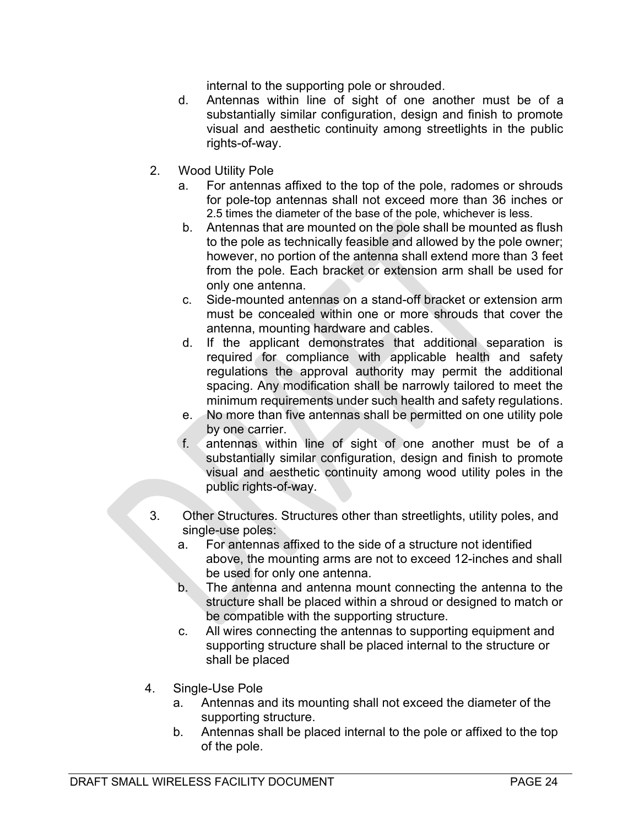internal to the supporting pole or shrouded.

- d. Antennas within line of sight of one another must be of a substantially similar configuration, design and finish to promote visual and aesthetic continuity among streetlights in the public rights-of-way.
- 2. Wood Utility Pole
	- a. For antennas affixed to the top of the pole, radomes or shrouds for pole-top antennas shall not exceed more than 36 inches or 2.5 times the diameter of the base of the pole, whichever is less.
	- b. Antennas that are mounted on the pole shall be mounted as flush to the pole as technically feasible and allowed by the pole owner; however, no portion of the antenna shall extend more than 3 feet from the pole. Each bracket or extension arm shall be used for only one antenna.
	- c. Side-mounted antennas on a stand-off bracket or extension arm must be concealed within one or more shrouds that cover the antenna, mounting hardware and cables.
	- d. If the applicant demonstrates that additional separation is required for compliance with applicable health and safety regulations the approval authority may permit the additional spacing. Any modification shall be narrowly tailored to meet the minimum requirements under such health and safety regulations.
	- e. No more than five antennas shall be permitted on one utility pole by one carrier.
	- f. antennas within line of sight of one another must be of a substantially similar configuration, design and finish to promote visual and aesthetic continuity among wood utility poles in the public rights-of-way.
- 3. Other Structures. Structures other than streetlights, utility poles, and single-use poles:
	- a. For antennas affixed to the side of a structure not identified above, the mounting arms are not to exceed 12-inches and shall be used for only one antenna.
	- b. The antenna and antenna mount connecting the antenna to the structure shall be placed within a shroud or designed to match or be compatible with the supporting structure.
	- c. All wires connecting the antennas to supporting equipment and supporting structure shall be placed internal to the structure or shall be placed
- 4. Single-Use Pole
	- a. Antennas and its mounting shall not exceed the diameter of the supporting structure.
	- b. Antennas shall be placed internal to the pole or affixed to the top of the pole.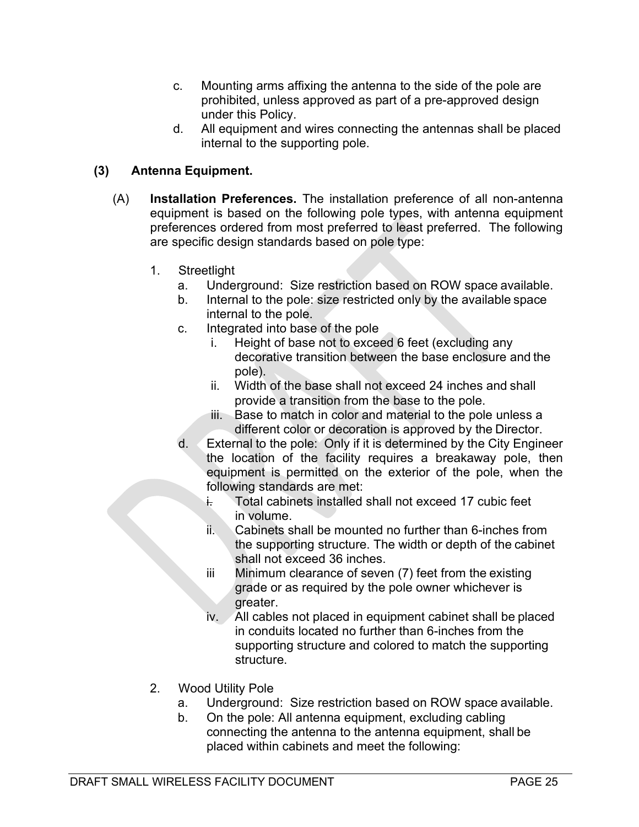- c. Mounting arms affixing the antenna to the side of the pole are prohibited, unless approved as part of a pre-approved design under this Policy.
- d. All equipment and wires connecting the antennas shall be placed internal to the supporting pole.

## (3) Antenna Equipment.

- (A) Installation Preferences. The installation preference of all non-antenna equipment is based on the following pole types, with antenna equipment preferences ordered from most preferred to least preferred. The following are specific design standards based on pole type:
	- 1. Streetlight
		- a. Underground: Size restriction based on ROW space available.
		- b. Internal to the pole: size restricted only by the available space internal to the pole.
		- c. Integrated into base of the pole
			- i. Height of base not to exceed 6 feet (excluding any decorative transition between the base enclosure and the pole).
			- ii. Width of the base shall not exceed 24 inches and shall provide a transition from the base to the pole.
			- iii. Base to match in color and material to the pole unless a different color or decoration is approved by the Director.
		- d. External to the pole: Only if it is determined by the City Engineer the location of the facility requires a breakaway pole, then equipment is permitted on the exterior of the pole, when the following standards are met:
			- i. Total cabinets installed shall not exceed 17 cubic feet in volume.
			- ii. Cabinets shall be mounted no further than 6-inches from the supporting structure. The width or depth of the cabinet shall not exceed 36 inches.
			- iii Minimum clearance of seven (7) feet from the existing grade or as required by the pole owner whichever is greater.
			- iv. All cables not placed in equipment cabinet shall be placed in conduits located no further than 6-inches from the supporting structure and colored to match the supporting structure.
	- 2. Wood Utility Pole
		- a. Underground: Size restriction based on ROW space available.
		- b. On the pole: All antenna equipment, excluding cabling connecting the antenna to the antenna equipment, shall be placed within cabinets and meet the following: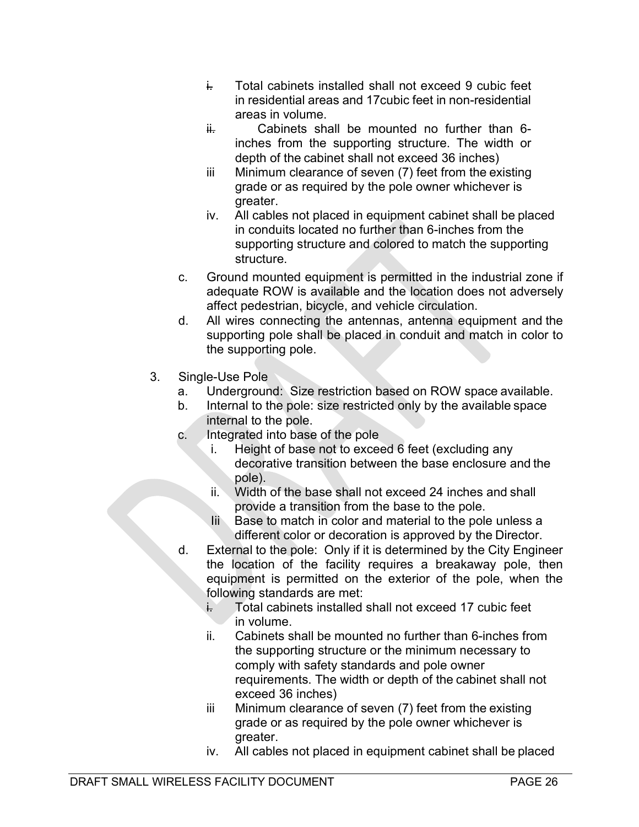- i. Total cabinets installed shall not exceed 9 cubic feet in residential areas and 17cubic feet in non-residential areas in volume.
- $\frac{1}{1}$  Cabinets shall be mounted no further than 6inches from the supporting structure. The width or depth of the cabinet shall not exceed 36 inches)
- iii Minimum clearance of seven (7) feet from the existing grade or as required by the pole owner whichever is greater.
- iv. All cables not placed in equipment cabinet shall be placed in conduits located no further than 6-inches from the supporting structure and colored to match the supporting structure.
- c. Ground mounted equipment is permitted in the industrial zone if adequate ROW is available and the location does not adversely affect pedestrian, bicycle, and vehicle circulation.
- d. All wires connecting the antennas, antenna equipment and the supporting pole shall be placed in conduit and match in color to the supporting pole.
- 3. Single-Use Pole
	- a. Underground: Size restriction based on ROW space available.
	- b. Internal to the pole: size restricted only by the available space internal to the pole.
	- c. Integrated into base of the pole
		- i. Height of base not to exceed 6 feet (excluding any decorative transition between the base enclosure and the pole).
		- ii. Width of the base shall not exceed 24 inches and shall provide a transition from the base to the pole.
		- Iii Base to match in color and material to the pole unless a different color or decoration is approved by the Director.
	- d. External to the pole: Only if it is determined by the City Engineer the location of the facility requires a breakaway pole, then equipment is permitted on the exterior of the pole, when the following standards are met:
		- i. Total cabinets installed shall not exceed 17 cubic feet in volume.
		- ii. Cabinets shall be mounted no further than 6-inches from the supporting structure or the minimum necessary to comply with safety standards and pole owner requirements. The width or depth of the cabinet shall not exceed 36 inches)
		- iii Minimum clearance of seven (7) feet from the existing grade or as required by the pole owner whichever is greater.
		- iv. All cables not placed in equipment cabinet shall be placed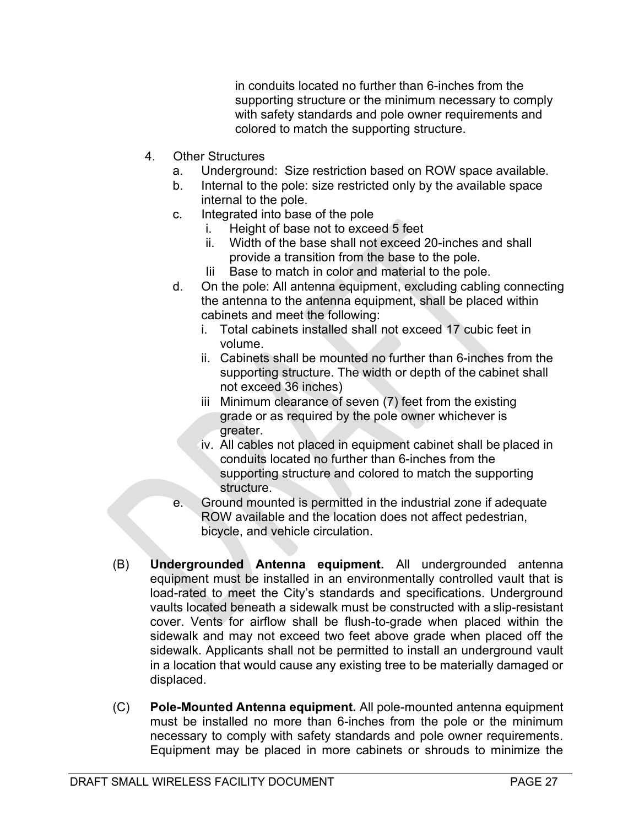in conduits located no further than 6-inches from the supporting structure or the minimum necessary to comply with safety standards and pole owner requirements and colored to match the supporting structure.

- 4. Other Structures
	- a. Underground: Size restriction based on ROW space available.
	- b. Internal to the pole: size restricted only by the available space internal to the pole.
	- c. Integrated into base of the pole
		- i. Height of base not to exceed 5 feet
		- ii. Width of the base shall not exceed 20-inches and shall provide a transition from the base to the pole.
		- Iii Base to match in color and material to the pole.
	- d. On the pole: All antenna equipment, excluding cabling connecting the antenna to the antenna equipment, shall be placed within cabinets and meet the following:
		- i. Total cabinets installed shall not exceed 17 cubic feet in volume.
		- ii. Cabinets shall be mounted no further than 6-inches from the supporting structure. The width or depth of the cabinet shall not exceed 36 inches)
		- iii Minimum clearance of seven (7) feet from the existing grade or as required by the pole owner whichever is greater.
		- iv. All cables not placed in equipment cabinet shall be placed in conduits located no further than 6-inches from the supporting structure and colored to match the supporting structure.
	- e. Ground mounted is permitted in the industrial zone if adequate ROW available and the location does not affect pedestrian, bicycle, and vehicle circulation.
- (B) Undergrounded Antenna equipment. All undergrounded antenna equipment must be installed in an environmentally controlled vault that is load-rated to meet the City's standards and specifications. Underground vaults located beneath a sidewalk must be constructed with a slip-resistant cover. Vents for airflow shall be flush-to-grade when placed within the sidewalk and may not exceed two feet above grade when placed off the sidewalk. Applicants shall not be permitted to install an underground vault in a location that would cause any existing tree to be materially damaged or displaced.
- (C) Pole-Mounted Antenna equipment. All pole-mounted antenna equipment must be installed no more than 6-inches from the pole or the minimum necessary to comply with safety standards and pole owner requirements. Equipment may be placed in more cabinets or shrouds to minimize the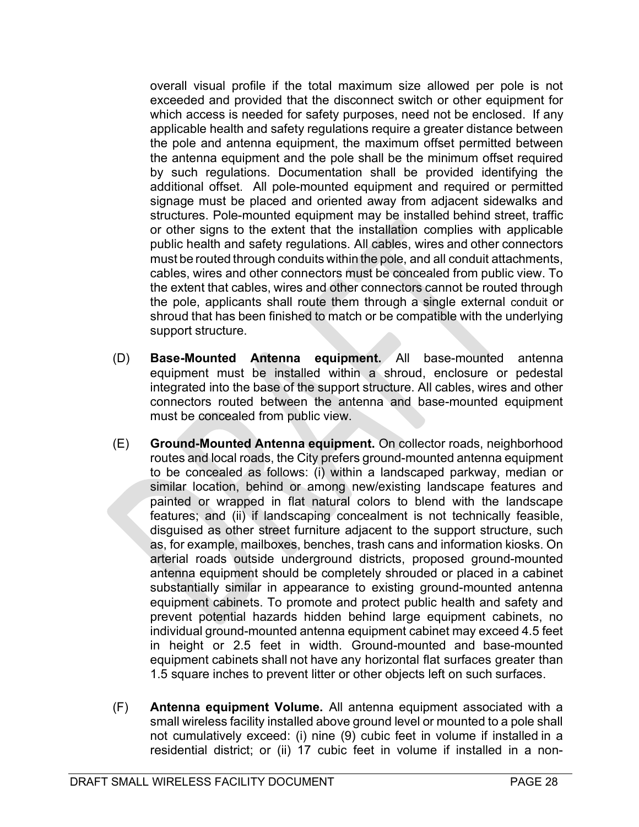overall visual profile if the total maximum size allowed per pole is not exceeded and provided that the disconnect switch or other equipment for which access is needed for safety purposes, need not be enclosed. If any applicable health and safety regulations require a greater distance between the pole and antenna equipment, the maximum offset permitted between the antenna equipment and the pole shall be the minimum offset required by such regulations. Documentation shall be provided identifying the additional offset. All pole-mounted equipment and required or permitted signage must be placed and oriented away from adjacent sidewalks and structures. Pole-mounted equipment may be installed behind street, traffic or other signs to the extent that the installation complies with applicable public health and safety regulations. All cables, wires and other connectors must be routed through conduits within the pole, and all conduit attachments, cables, wires and other connectors must be concealed from public view. To the extent that cables, wires and other connectors cannot be routed through the pole, applicants shall route them through a single external conduit or shroud that has been finished to match or be compatible with the underlying support structure.

- (D) Base-Mounted Antenna equipment. All base-mounted antenna equipment must be installed within a shroud, enclosure or pedestal integrated into the base of the support structure. All cables, wires and other connectors routed between the antenna and base-mounted equipment must be concealed from public view.
- (E) Ground-Mounted Antenna equipment. On collector roads, neighborhood routes and local roads, the City prefers ground-mounted antenna equipment to be concealed as follows: (i) within a landscaped parkway, median or similar location, behind or among new/existing landscape features and painted or wrapped in flat natural colors to blend with the landscape features; and (ii) if landscaping concealment is not technically feasible, disguised as other street furniture adjacent to the support structure, such as, for example, mailboxes, benches, trash cans and information kiosks. On arterial roads outside underground districts, proposed ground-mounted antenna equipment should be completely shrouded or placed in a cabinet substantially similar in appearance to existing ground-mounted antenna equipment cabinets. To promote and protect public health and safety and prevent potential hazards hidden behind large equipment cabinets, no individual ground-mounted antenna equipment cabinet may exceed 4.5 feet in height or 2.5 feet in width. Ground-mounted and base-mounted equipment cabinets shall not have any horizontal flat surfaces greater than 1.5 square inches to prevent litter or other objects left on such surfaces.
- (F) Antenna equipment Volume. All antenna equipment associated with a small wireless facility installed above ground level or mounted to a pole shall not cumulatively exceed: (i) nine (9) cubic feet in volume if installed in a residential district; or (ii) 17 cubic feet in volume if installed in a non-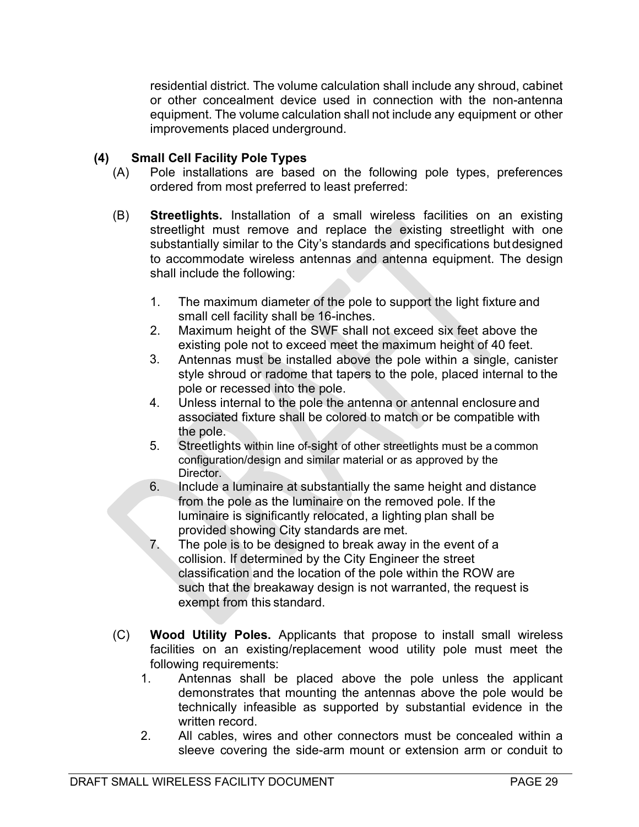residential district. The volume calculation shall include any shroud, cabinet or other concealment device used in connection with the non-antenna equipment. The volume calculation shall not include any equipment or other improvements placed underground.

### (4) Small Cell Facility Pole Types

- (A) Pole installations are based on the following pole types, preferences ordered from most preferred to least preferred:
- (B) Streetlights. Installation of a small wireless facilities on an existing streetlight must remove and replace the existing streetlight with one substantially similar to the City's standards and specifications but designed to accommodate wireless antennas and antenna equipment. The design shall include the following:
	- 1. The maximum diameter of the pole to support the light fixture and small cell facility shall be 16-inches.
	- 2. Maximum height of the SWF shall not exceed six feet above the existing pole not to exceed meet the maximum height of 40 feet.
	- 3. Antennas must be installed above the pole within a single, canister style shroud or radome that tapers to the pole, placed internal to the pole or recessed into the pole.
	- 4. Unless internal to the pole the antenna or antennal enclosure and associated fixture shall be colored to match or be compatible with the pole.
	- 5. Streetlights within line of-sight of other streetlights must be a common configuration/design and similar material or as approved by the Director.
	- 6. Include a luminaire at substantially the same height and distance from the pole as the luminaire on the removed pole. If the luminaire is significantly relocated, a lighting plan shall be provided showing City standards are met.
	- 7. The pole is to be designed to break away in the event of a collision. If determined by the City Engineer the street classification and the location of the pole within the ROW are such that the breakaway design is not warranted, the request is exempt from this standard.
- (C) Wood Utility Poles. Applicants that propose to install small wireless facilities on an existing/replacement wood utility pole must meet the following requirements:
	- 1. Antennas shall be placed above the pole unless the applicant demonstrates that mounting the antennas above the pole would be technically infeasible as supported by substantial evidence in the written record.
	- 2. All cables, wires and other connectors must be concealed within a sleeve covering the side-arm mount or extension arm or conduit to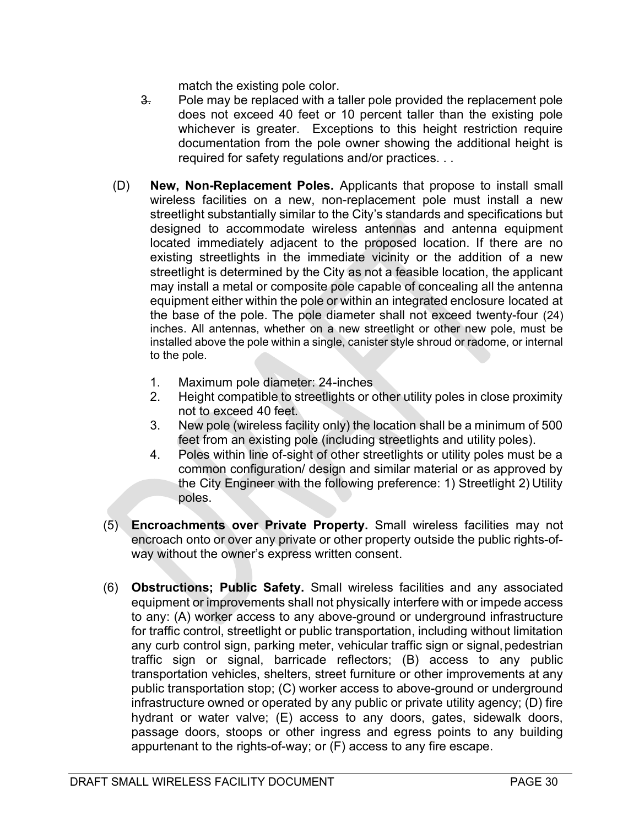match the existing pole color.

- $\frac{3}{2}$  Pole may be replaced with a taller pole provided the replacement pole does not exceed 40 feet or 10 percent taller than the existing pole whichever is greater. Exceptions to this height restriction require documentation from the pole owner showing the additional height is required for safety regulations and/or practices. . .
- (D) New, Non-Replacement Poles. Applicants that propose to install small wireless facilities on a new, non-replacement pole must install a new streetlight substantially similar to the City's standards and specifications but designed to accommodate wireless antennas and antenna equipment located immediately adjacent to the proposed location. If there are no existing streetlights in the immediate vicinity or the addition of a new streetlight is determined by the City as not a feasible location, the applicant may install a metal or composite pole capable of concealing all the antenna equipment either within the pole or within an integrated enclosure located at the base of the pole. The pole diameter shall not exceed twenty-four (24) inches. All antennas, whether on a new streetlight or other new pole, must be installed above the pole within a single, canister style shroud or radome, or internal to the pole.
	- 1. Maximum pole diameter: 24-inches
	- 2. Height compatible to streetlights or other utility poles in close proximity not to exceed 40 feet.
	- 3. New pole (wireless facility only) the location shall be a minimum of 500 feet from an existing pole (including streetlights and utility poles).
	- 4. Poles within line of-sight of other streetlights or utility poles must be a common configuration/ design and similar material or as approved by the City Engineer with the following preference: 1) Streetlight 2) Utility poles.
- (5) Encroachments over Private Property. Small wireless facilities may not encroach onto or over any private or other property outside the public rights-ofway without the owner's express written consent.
- (6) Obstructions; Public Safety. Small wireless facilities and any associated equipment or improvements shall not physically interfere with or impede access to any: (A) worker access to any above-ground or underground infrastructure for traffic control, streetlight or public transportation, including without limitation any curb control sign, parking meter, vehicular traffic sign or signal, pedestrian traffic sign or signal, barricade reflectors; (B) access to any public transportation vehicles, shelters, street furniture or other improvements at any public transportation stop; (C) worker access to above-ground or underground infrastructure owned or operated by any public or private utility agency; (D) fire hydrant or water valve; (E) access to any doors, gates, sidewalk doors, passage doors, stoops or other ingress and egress points to any building appurtenant to the rights-of-way; or (F) access to any fire escape.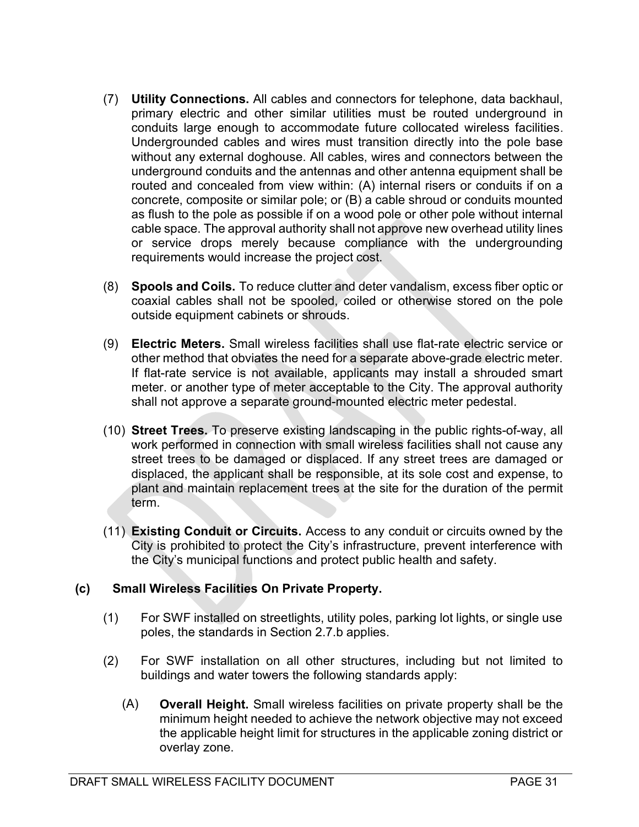- (7) Utility Connections. All cables and connectors for telephone, data backhaul, primary electric and other similar utilities must be routed underground in conduits large enough to accommodate future collocated wireless facilities. Undergrounded cables and wires must transition directly into the pole base without any external doghouse. All cables, wires and connectors between the underground conduits and the antennas and other antenna equipment shall be routed and concealed from view within: (A) internal risers or conduits if on a concrete, composite or similar pole; or (B) a cable shroud or conduits mounted as flush to the pole as possible if on a wood pole or other pole without internal cable space. The approval authority shall not approve new overhead utility lines or service drops merely because compliance with the undergrounding requirements would increase the project cost.
- (8) Spools and Coils. To reduce clutter and deter vandalism, excess fiber optic or coaxial cables shall not be spooled, coiled or otherwise stored on the pole outside equipment cabinets or shrouds.
- (9) Electric Meters. Small wireless facilities shall use flat-rate electric service or other method that obviates the need for a separate above-grade electric meter. If flat-rate service is not available, applicants may install a shrouded smart meter. or another type of meter acceptable to the City. The approval authority shall not approve a separate ground-mounted electric meter pedestal.
- (10) Street Trees. To preserve existing landscaping in the public rights-of-way, all work performed in connection with small wireless facilities shall not cause any street trees to be damaged or displaced. If any street trees are damaged or displaced, the applicant shall be responsible, at its sole cost and expense, to plant and maintain replacement trees at the site for the duration of the permit term.
- (11) Existing Conduit or Circuits. Access to any conduit or circuits owned by the City is prohibited to protect the City's infrastructure, prevent interference with the City's municipal functions and protect public health and safety.

## (c) Small Wireless Facilities On Private Property.

- (1) For SWF installed on streetlights, utility poles, parking lot lights, or single use poles, the standards in Section 2.7.b applies.
- (2) For SWF installation on all other structures, including but not limited to buildings and water towers the following standards apply:
	- (A) Overall Height. Small wireless facilities on private property shall be the minimum height needed to achieve the network objective may not exceed the applicable height limit for structures in the applicable zoning district or overlay zone.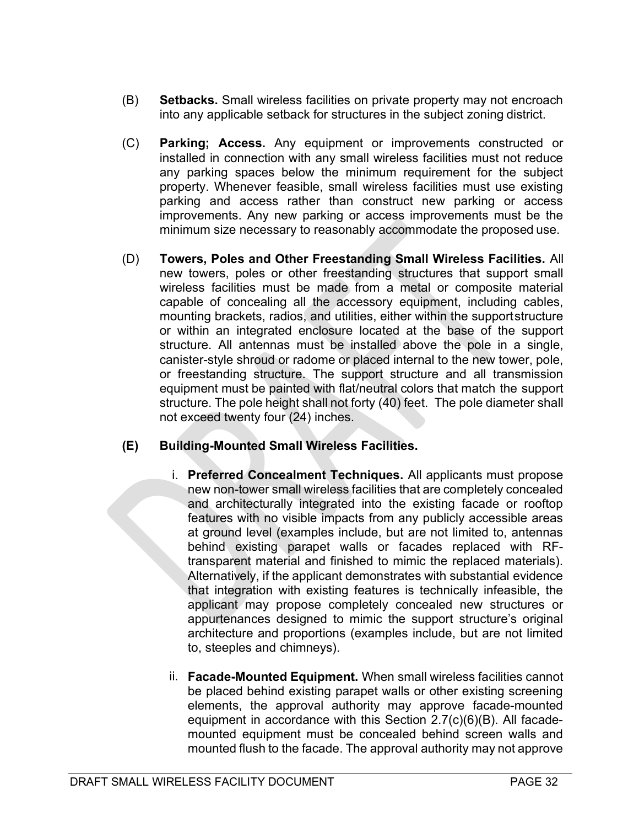- (B) Setbacks. Small wireless facilities on private property may not encroach into any applicable setback for structures in the subject zoning district.
- (C) Parking; Access. Any equipment or improvements constructed or installed in connection with any small wireless facilities must not reduce any parking spaces below the minimum requirement for the subject property. Whenever feasible, small wireless facilities must use existing parking and access rather than construct new parking or access improvements. Any new parking or access improvements must be the minimum size necessary to reasonably accommodate the proposed use.
- (D) Towers, Poles and Other Freestanding Small Wireless Facilities. All new towers, poles or other freestanding structures that support small wireless facilities must be made from a metal or composite material capable of concealing all the accessory equipment, including cables, mounting brackets, radios, and utilities, either within the support structure or within an integrated enclosure located at the base of the support structure. All antennas must be installed above the pole in a single, canister-style shroud or radome or placed internal to the new tower, pole, or freestanding structure. The support structure and all transmission equipment must be painted with flat/neutral colors that match the support structure. The pole height shall not forty (40) feet. The pole diameter shall not exceed twenty four (24) inches.

## (E) Building-Mounted Small Wireless Facilities.

- i. Preferred Concealment Techniques. All applicants must propose new non-tower small wireless facilities that are completely concealed and architecturally integrated into the existing facade or rooftop features with no visible impacts from any publicly accessible areas at ground level (examples include, but are not limited to, antennas behind existing parapet walls or facades replaced with RFtransparent material and finished to mimic the replaced materials). Alternatively, if the applicant demonstrates with substantial evidence that integration with existing features is technically infeasible, the applicant may propose completely concealed new structures or appurtenances designed to mimic the support structure's original architecture and proportions (examples include, but are not limited to, steeples and chimneys).
- ii. Facade-Mounted Equipment. When small wireless facilities cannot be placed behind existing parapet walls or other existing screening elements, the approval authority may approve facade-mounted equipment in accordance with this Section 2.7(c)(6)(B). All facademounted equipment must be concealed behind screen walls and mounted flush to the facade. The approval authority may not approve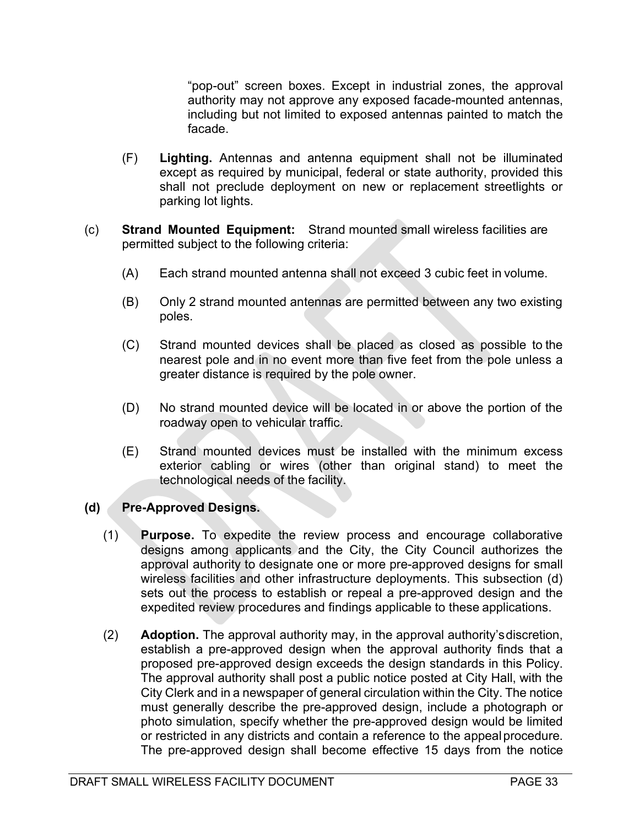"pop-out" screen boxes. Except in industrial zones, the approval authority may not approve any exposed facade-mounted antennas, including but not limited to exposed antennas painted to match the facade.

- (F) Lighting. Antennas and antenna equipment shall not be illuminated except as required by municipal, federal or state authority, provided this shall not preclude deployment on new or replacement streetlights or parking lot lights.
- (c) Strand Mounted Equipment: Strand mounted small wireless facilities are permitted subject to the following criteria:
	- (A) Each strand mounted antenna shall not exceed 3 cubic feet in volume.
	- (B) Only 2 strand mounted antennas are permitted between any two existing poles.
	- (C) Strand mounted devices shall be placed as closed as possible to the nearest pole and in no event more than five feet from the pole unless a greater distance is required by the pole owner.
	- (D) No strand mounted device will be located in or above the portion of the roadway open to vehicular traffic.
	- (E) Strand mounted devices must be installed with the minimum excess exterior cabling or wires (other than original stand) to meet the technological needs of the facility.

#### (d) Pre-Approved Designs.

- (1) Purpose. To expedite the review process and encourage collaborative designs among applicants and the City, the City Council authorizes the approval authority to designate one or more pre-approved designs for small wireless facilities and other infrastructure deployments. This subsection (d) sets out the process to establish or repeal a pre-approved design and the expedited review procedures and findings applicable to these applications.
- (2) Adoption. The approval authority may, in the approval authority's discretion, establish a pre-approved design when the approval authority finds that a proposed pre-approved design exceeds the design standards in this Policy. The approval authority shall post a public notice posted at City Hall, with the City Clerk and in a newspaper of general circulation within the City. The notice must generally describe the pre-approved design, include a photograph or photo simulation, specify whether the pre-approved design would be limited or restricted in any districts and contain a reference to the appeal procedure. The pre-approved design shall become effective 15 days from the notice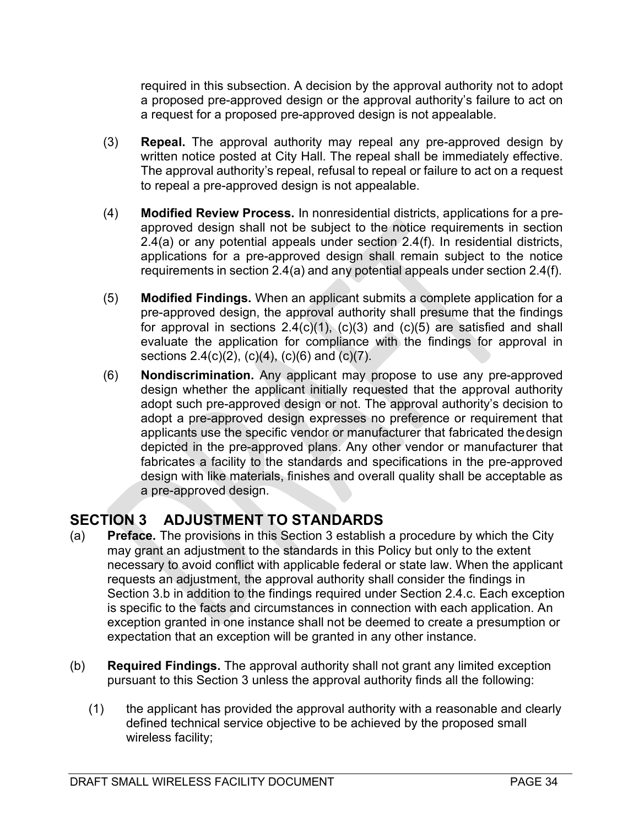required in this subsection. A decision by the approval authority not to adopt a proposed pre-approved design or the approval authority's failure to act on a request for a proposed pre-approved design is not appealable.

- (3) Repeal. The approval authority may repeal any pre-approved design by written notice posted at City Hall. The repeal shall be immediately effective. The approval authority's repeal, refusal to repeal or failure to act on a request to repeal a pre-approved design is not appealable.
- (4) Modified Review Process. In nonresidential districts, applications for a preapproved design shall not be subject to the notice requirements in section 2.4(a) or any potential appeals under section 2.4(f). In residential districts, applications for a pre-approved design shall remain subject to the notice requirements in section 2.4(a) and any potential appeals under section 2.4(f).
- (5) Modified Findings. When an applicant submits a complete application for a pre-approved design, the approval authority shall presume that the findings for approval in sections  $2.4(c)(1)$ ,  $(c)(3)$  and  $(c)(5)$  are satisfied and shall evaluate the application for compliance with the findings for approval in sections 2.4(c)(2), (c)(4), (c)(6) and (c)(7).
- (6) Nondiscrimination. Any applicant may propose to use any pre-approved design whether the applicant initially requested that the approval authority adopt such pre-approved design or not. The approval authority's decision to adopt a pre-approved design expresses no preference or requirement that applicants use the specific vendor or manufacturer that fabricated the design depicted in the pre-approved plans. Any other vendor or manufacturer that fabricates a facility to the standards and specifications in the pre-approved design with like materials, finishes and overall quality shall be acceptable as a pre-approved design.

## SECTION 3 ADJUSTMENT TO STANDARDS

- (a) Preface. The provisions in this Section 3 establish a procedure by which the City may grant an adjustment to the standards in this Policy but only to the extent necessary to avoid conflict with applicable federal or state law. When the applicant requests an adjustment, the approval authority shall consider the findings in Section 3.b in addition to the findings required under Section 2.4.c. Each exception is specific to the facts and circumstances in connection with each application. An exception granted in one instance shall not be deemed to create a presumption or expectation that an exception will be granted in any other instance.
- (b) Required Findings. The approval authority shall not grant any limited exception pursuant to this Section 3 unless the approval authority finds all the following:
	- (1) the applicant has provided the approval authority with a reasonable and clearly defined technical service objective to be achieved by the proposed small wireless facility;